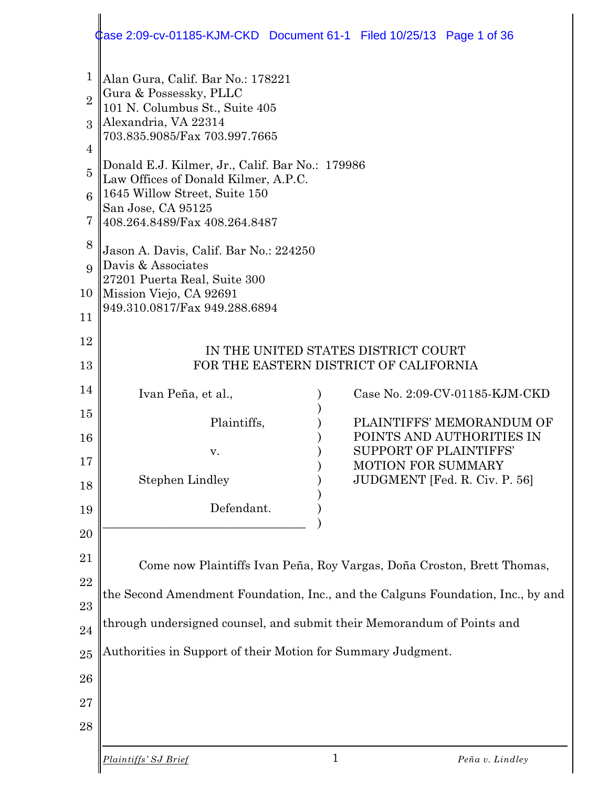#### 1 2 3 4 5 6 7 8 9 10 11 12 13 14 15 16 17 18 19 20 21 22 23 24 25 26 27 28 Alan Gura, Calif. Bar No.: 178221 Gura & Possessky, PLLC 101 N. Columbus St., Suite 405 Alexandria, VA 22314 703.835.9085/Fax 703.997.7665 Donald E.J. Kilmer, Jr., Calif. Bar No.: 179986 Law Offices of Donald Kilmer, A.P.C. 1645 Willow Street, Suite 150 San Jose, CA 95125 408.264.8489/Fax 408.264.8487 Jason A. Davis, Calif. Bar No.: 224250 Davis & Associates 27201 Puerta Real, Suite 300 Mission Viejo, CA 92691 949.310.0817/Fax 949.288.6894 IN THE UNITED STATES DISTRICT COURT FOR THE EASTERN DISTRICT OF CALIFORNIA Ivan Peña, et al., ) Case No. 2:09-CV-01185-KJM-CKD ) Plaintiffs,  $PLAINTIFFS' MEMORANDUM OF$ ) POINTS AND AUTHORITIES IN v. SUPPORT OF PLAINTIFFS' ) MOTION FOR SUMMARY Stephen Lindley ) JUDGMENT [Fed. R. Civ. P. 56] ) Defendant.  $\qquad\qquad\qquad\qquad)$ Come now Plaintiffs Ivan Peña, Roy Vargas, Doña Croston, Brett Thomas, the Second Amendment Foundation, Inc., and the Calguns Foundation, Inc., by and through undersigned counsel, and submit their Memorandum of Points and Authorities in Support of their Motion for Summary Judgment. Case 2:09-cv-01185-KJM-CKD Document 61-1 Filed 10/25/13 Page 1 of 36

*Plaintiffs' SJ Brief* 1 *Peña v. Lindley*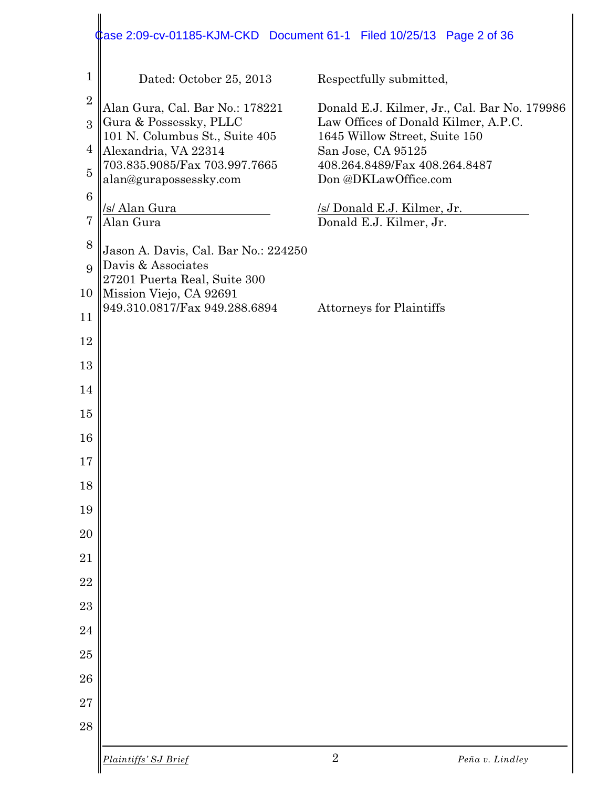#### Dated: October 25, 2013 Respectfully submitted, Alan Gura, Cal. Bar No.: 178221 Donald E.J. Kilmer, Jr., Cal. Bar No. 179986 Gura & Possessky, PLLC Law Offices of Donald Kilmer, A.P.C. 101 N. Columbus St., Suite 405 1645 Willow Street, Suite 150 Alexandria, VA 22314 San Jose, CA 95125 703.835.9085/Fax 703.997.7665 408.264.8489/Fax 408.264.8487 alan@gurapossessky.com Don @DKLawOffice.com /s/ Alan Gura /s/ Donald E.J. Kilmer, Jr. Alan Gura Donald E.J. Kilmer, Jr. Jason A. Davis, Cal. Bar No.: 224250 Davis & Associates 27201 Puerta Real, Suite 300 Mission Viejo, CA 92691 949.310.0817/Fax 949.288.6894 Attorneys for Plaintiffs Case 2:09-cv-01185-KJM-CKD Document 61-1 Filed 10/25/13 Page 2 of 36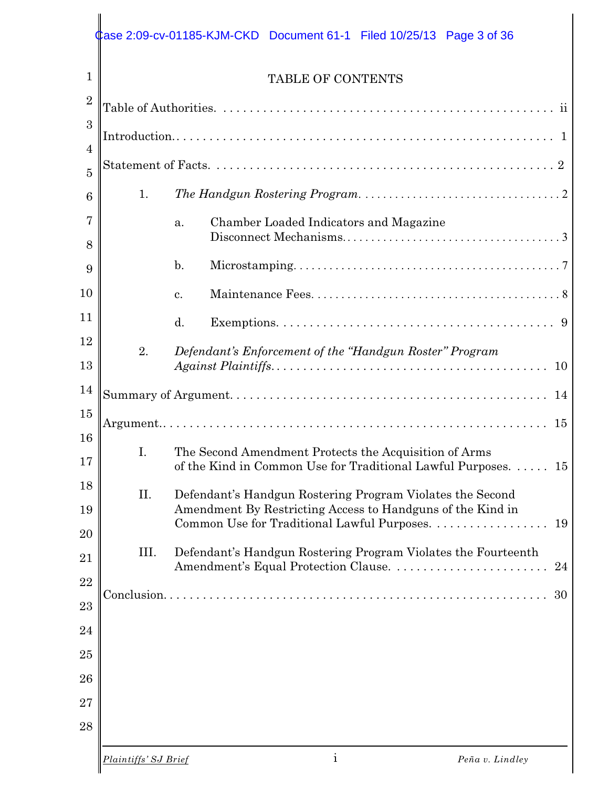## Case 2:09-cv-01185-KJM-CKD Document 61-1 Filed 10/25/13 Page 3 of 36

#### TABLE OF CONTENTS

| $\overline{2}$ |                      |                                                                       |
|----------------|----------------------|-----------------------------------------------------------------------|
| 3              |                      |                                                                       |
| $\overline{4}$ |                      |                                                                       |
| $\overline{5}$ |                      |                                                                       |
| 6              | 1.                   |                                                                       |
| 7<br>8         |                      | Chamber Loaded Indicators and Magazine<br>a.                          |
| 9              |                      | $\mathbf{b}$ .                                                        |
| 10             |                      | c.                                                                    |
| 11             |                      | d.                                                                    |
| 12             | 2.                   | Defendant's Enforcement of the "Handgun Roster" Program               |
| 13             |                      |                                                                       |
| 14             |                      |                                                                       |
| 15             |                      |                                                                       |
| 16             | I.                   | The Second Amendment Protects the Acquisition of Arms                 |
| 17             |                      | of the Kind in Common Use for Traditional Lawful Purposes. $\dots$ 15 |
| 18             | II.                  | Defendant's Handgun Rostering Program Violates the Second             |
| 19             |                      | Amendment By Restricting Access to Handguns of the Kind in            |
| $20\,$         | III.                 |                                                                       |
| 21             |                      | Defendant's Handgun Rostering Program Violates the Fourteenth<br>24   |
| 22             |                      | 30                                                                    |
| 23             |                      |                                                                       |
| 24             |                      |                                                                       |
| 25             |                      |                                                                       |
| 26             |                      |                                                                       |
| 27             |                      |                                                                       |
| 28             |                      |                                                                       |
|                | Plaintiffs' SJ Brief | $\mathbf 1$<br>Peña v. Lindley                                        |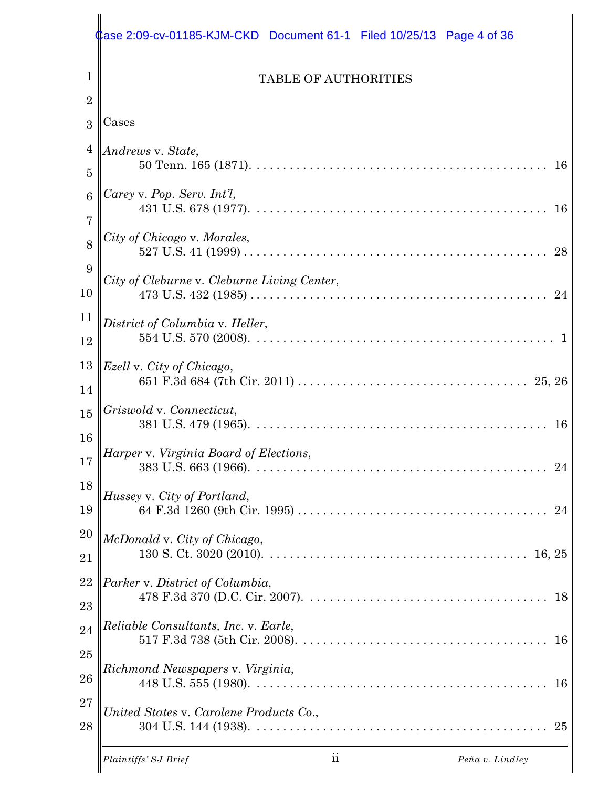|                  | ase 2:09-cv-01185-KJM-CKD Document 61-1    Filed 10/25/13    Page 4 of 36 |
|------------------|---------------------------------------------------------------------------|
| 1                | <b>TABLE OF AUTHORITIES</b>                                               |
| $\overline{2}$   |                                                                           |
| 3                | Cases                                                                     |
| $\overline{4}$   | Andrews v. State,                                                         |
| 5                | 16                                                                        |
| $\boldsymbol{6}$ | Carey v. Pop. Serv. Int'l,                                                |
| 7                | 16                                                                        |
| 8                | City of Chicago v. Morales,<br>28                                         |
| 9                | City of Cleburne v. Cleburne Living Center,                               |
| 10               | 24                                                                        |
| 11               | District of Columbia v. Heller,                                           |
| 12               |                                                                           |
| 13               | Ezell v. City of Chicago,                                                 |
| 14               |                                                                           |
| 15               | Griswold v. Connecticut,<br>16                                            |
| 16               |                                                                           |
| 17               | Harper v. Virginia Board of Elections,<br>24                              |
| 18               | Hussey v. City of Portland,                                               |
| 19               | 24                                                                        |
| 20               | McDonald v. City of Chicago,                                              |
| 21               |                                                                           |
| 22               | Parker v. District of Columbia,                                           |
| 23               | 18                                                                        |
| 24               | Reliable Consultants, Inc. v. Earle,                                      |
| 25               | 16                                                                        |
| 26               | Richmond Newspapers v. Virginia,<br>16                                    |
| 27<br>28         | United States v. Carolene Products Co.,<br>25                             |
|                  | ii<br>Peña v. Lindley<br>Plaintiffs' SJ Brief                             |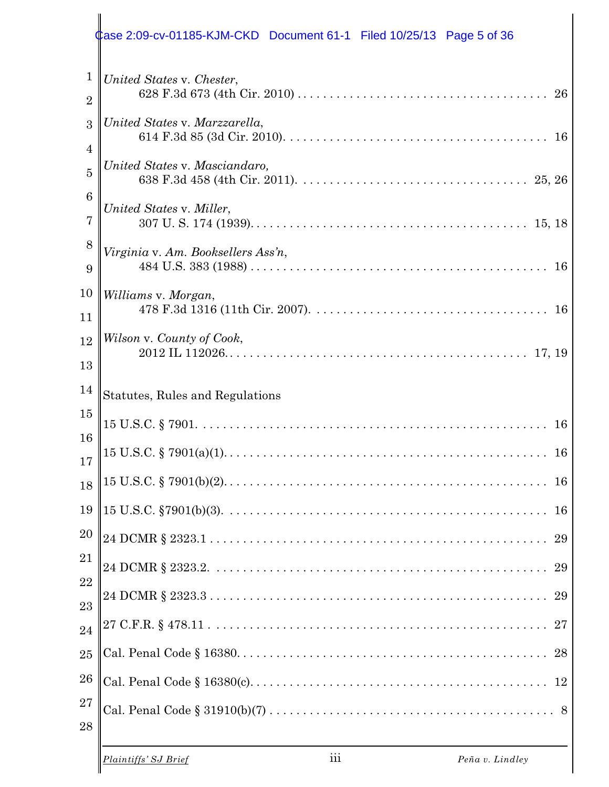|                                                                                  | Case 2:09-cv-01185-KJM-CKD Document 61-1    Filed 10/25/13    Page 5 of 36 |
|----------------------------------------------------------------------------------|----------------------------------------------------------------------------|
| $\mathbf 1$<br>$\overline{2}$                                                    | United States v. Chester,                                                  |
| 3<br>$\overline{4}$                                                              | United States v. Marzzarella,<br>16                                        |
| $\overline{5}$                                                                   | United States v. Masciandaro,                                              |
| $\boldsymbol{6}$<br>$\overline{7}$                                               | United States v. Miller,                                                   |
| 8<br>9                                                                           | Virginia v. Am. Booksellers Ass'n,<br>16                                   |
| 10<br>11                                                                         | Williams v. Morgan,                                                        |
| 12<br>13                                                                         | Wilson v. County of Cook,                                                  |
|                                                                                  |                                                                            |
|                                                                                  | Statutes, Rules and Regulations                                            |
|                                                                                  | 16                                                                         |
|                                                                                  | 16                                                                         |
|                                                                                  | 16                                                                         |
|                                                                                  | 16                                                                         |
|                                                                                  | 29                                                                         |
|                                                                                  | 29                                                                         |
|                                                                                  | 29                                                                         |
|                                                                                  |                                                                            |
|                                                                                  |                                                                            |
| 14<br>15<br>16<br>17<br>18<br>19<br>20<br>21<br>22<br>23<br>24<br>25<br>26<br>27 | 12                                                                         |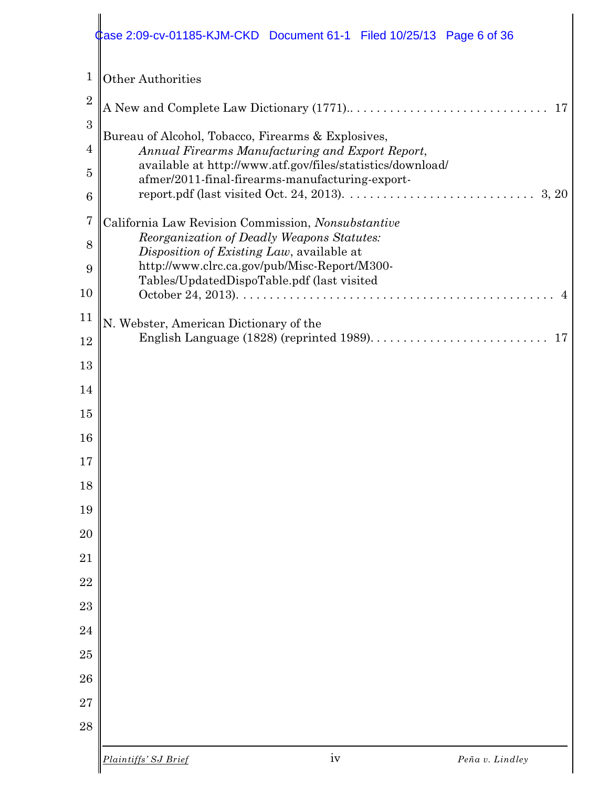|                  | iv<br>Plaintiffs' SJ Brief<br>Peña v. Lindley                                                                 |
|------------------|---------------------------------------------------------------------------------------------------------------|
| 28               |                                                                                                               |
| 27               |                                                                                                               |
| 26               |                                                                                                               |
| 24<br>25         |                                                                                                               |
|                  |                                                                                                               |
| 23               |                                                                                                               |
| 21<br>22         |                                                                                                               |
| 20               |                                                                                                               |
| 19               |                                                                                                               |
| 18               |                                                                                                               |
| 17               |                                                                                                               |
| 16               |                                                                                                               |
| 15               |                                                                                                               |
| 14               |                                                                                                               |
| 13               |                                                                                                               |
| 12               |                                                                                                               |
| 11               | N. Webster, American Dictionary of the<br>English Language (1828) (reprinted 1989)<br>17                      |
| 10               |                                                                                                               |
| 9                | http://www.clrc.ca.gov/pub/Misc-Report/M300-<br>Tables/UpdatedDispoTable.pdf (last visited                    |
| 8                | Disposition of Existing Law, available at                                                                     |
| $\overline{7}$   | California Law Revision Commission, Nonsubstantive<br>Reorganization of Deadly Weapons Statutes:              |
| $6\phantom{1}6$  | 3, 20                                                                                                         |
| $\overline{5}$   | available at http://www.atf.gov/files/statistics/download/<br>afmer/2011-final-firearms-manufacturing-export- |
| $\overline{4}$   | Annual Firearms Manufacturing and Export Report,                                                              |
| 3                | Bureau of Alcohol, Tobacco, Firearms & Explosives,                                                            |
| $\boldsymbol{2}$ | 17                                                                                                            |
| $\mathbf 1$      | <b>Other Authorities</b>                                                                                      |
|                  | tase 2:09-cv-01185-KJM-CKD Document 61-1 Filed 10/25/13 Page 6 of 36                                          |
|                  |                                                                                                               |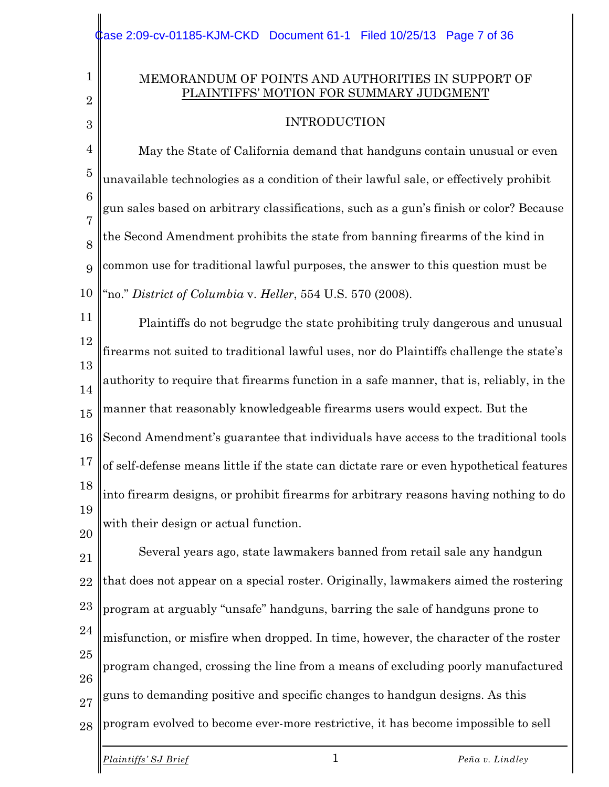#### MEMORANDUM OF POINTS AND AUTHORITIES IN SUPPORT OF PLAINTIFFS' MOTION FOR SUMMARY JUDGMENT

#### INTRODUCTION

4 5 6 7 8 9 10 May the State of California demand that handguns contain unusual or even unavailable technologies as a condition of their lawful sale, or effectively prohibit gun sales based on arbitrary classifications, such as a gun's finish or color? Because the Second Amendment prohibits the state from banning firearms of the kind in common use for traditional lawful purposes, the answer to this question must be "no." *District of Columbia* v. *Heller*, 554 U.S. 570 (2008).

11 12 13 14 15 16 17 18 19 20 Plaintiffs do not begrudge the state prohibiting truly dangerous and unusual firearms not suited to traditional lawful uses, nor do Plaintiffs challenge the state's authority to require that firearms function in a safe manner, that is, reliably, in the manner that reasonably knowledgeable firearms users would expect. But the Second Amendment's guarantee that individuals have access to the traditional tools of self-defense means little if the state can dictate rare or even hypothetical features into firearm designs, or prohibit firearms for arbitrary reasons having nothing to do with their design or actual function.

21 22 23 24 25 26 27 28 Several years ago, state lawmakers banned from retail sale any handgun that does not appear on a special roster. Originally, lawmakers aimed the rostering program at arguably "unsafe" handguns, barring the sale of handguns prone to misfunction, or misfire when dropped. In time, however, the character of the roster program changed, crossing the line from a means of excluding poorly manufactured guns to demanding positive and specific changes to handgun designs. As this program evolved to become ever-more restrictive, it has become impossible to sell

1

2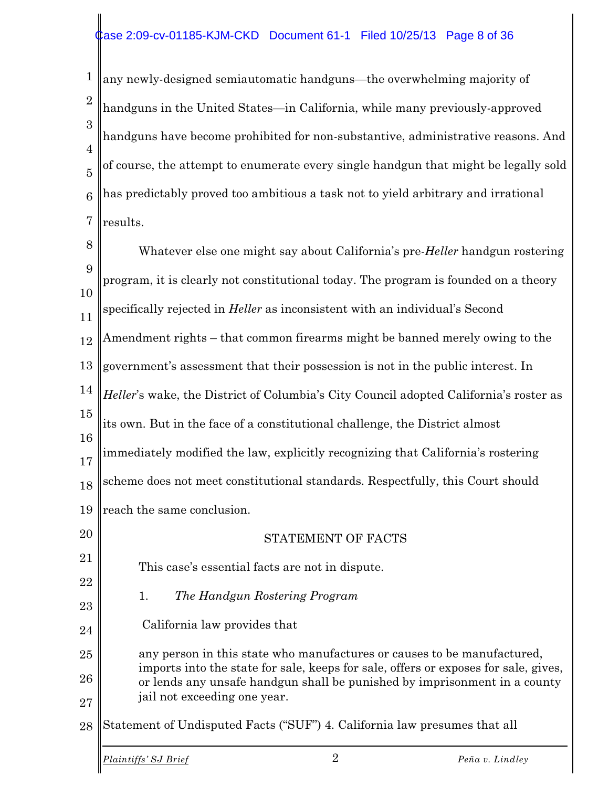#### Case 2:09-cv-01185-KJM-CKD Document 61-1 Filed 10/25/13 Page 8 of 36

1 2 3 4 5 6 7 any newly-designed semiautomatic handguns—the overwhelming majority of handguns in the United States—in California, while many previously-approved handguns have become prohibited for non-substantive, administrative reasons. And of course, the attempt to enumerate every single handgun that might be legally sold has predictably proved too ambitious a task not to yield arbitrary and irrational results.

8 9 10 11 12 13 14 15 16 17 18 19 20 21 22 23 24 25 26 27 28 Whatever else one might say about California's pre-*Heller* handgun rostering program, it is clearly not constitutional today. The program is founded on a theory specifically rejected in *Heller* as inconsistent with an individual's Second Amendment rights – that common firearms might be banned merely owing to the government's assessment that their possession is not in the public interest. In *Heller*'s wake, the District of Columbia's City Council adopted California's roster as its own. But in the face of a constitutional challenge, the District almost immediately modified the law, explicitly recognizing that California's rostering scheme does not meet constitutional standards. Respectfully, this Court should reach the same conclusion. STATEMENT OF FACTS This case's essential facts are not in dispute. 1. *The Handgun Rostering Program* California law provides that any person in this state who manufactures or causes to be manufactured, imports into the state for sale, keeps for sale, offers or exposes for sale, gives, or lends any unsafe handgun shall be punished by imprisonment in a county jail not exceeding one year. Statement of Undisputed Facts ("SUF") 4. California law presumes that all *Plaintiffs' SJ Brief* 2 *Peña v. Lindley*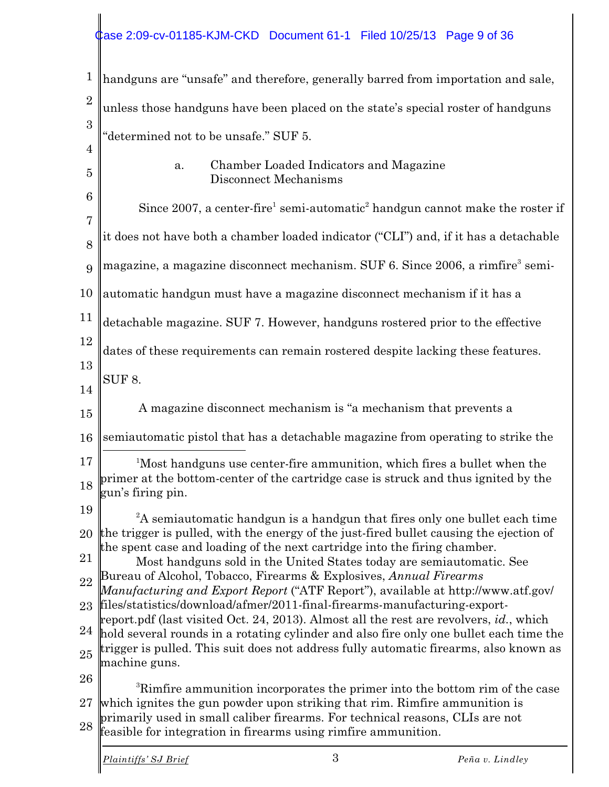# **Case 2:09-cv-01185-KJM-CKD** Document 61-1 Filed 10/25/13 Page 9 of 36

| $\mathbf{1}$        | handguns are "unsafe" and therefore, generally barred from importation and sale,                                                                                                                 |
|---------------------|--------------------------------------------------------------------------------------------------------------------------------------------------------------------------------------------------|
| $\overline{2}$      | unless those handguns have been placed on the state's special roster of handguns                                                                                                                 |
| 3                   | "determined not to be unsafe." SUF 5.                                                                                                                                                            |
| $\overline{4}$      |                                                                                                                                                                                                  |
| $\overline{5}$      | Chamber Loaded Indicators and Magazine<br>a.<br>Disconnect Mechanisms                                                                                                                            |
| 6                   | Since 2007, a center-fire <sup>1</sup> semi-automatic <sup>2</sup> handgun cannot make the roster if                                                                                             |
| $\overline{7}$<br>8 | it does not have both a chamber loaded indicator ("CLI") and, if it has a detachable                                                                                                             |
| 9                   | magazine, a magazine disconnect mechanism. SUF 6. Since 2006, a rimfire <sup>3</sup> semi-                                                                                                       |
| 10                  | automatic handgun must have a magazine disconnect mechanism if it has a                                                                                                                          |
| 11                  | detachable magazine. SUF 7. However, handguns rostered prior to the effective                                                                                                                    |
| 12                  | dates of these requirements can remain rostered despite lacking these features.                                                                                                                  |
| 13<br>14            | SUF <sub>8.</sub>                                                                                                                                                                                |
| 15                  | A magazine disconnect mechanism is "a mechanism that prevents a                                                                                                                                  |
| 16                  | semiautomatic pistol that has a detachable magazine from operating to strike the                                                                                                                 |
| 17<br>18            | <sup>1</sup> Most handguns use center-fire ammunition, which fires a bullet when the<br>primer at the bottom-center of the cartridge case is struck and thus ignited by the<br>gun's firing pin. |
| 19                  | ${}^{2}$ A semiautomatic handgun is a handgun that fires only one bullet each time                                                                                                               |
|                     | 20 the trigger is pulled, with the energy of the just-fired bullet causing the ejection of<br>the spent case and loading of the next cartridge into the firing chamber.                          |
| 21                  | Most handguns sold in the United States today are semiautomatic. See                                                                                                                             |
| 22                  | Bureau of Alcohol, Tobacco, Firearms & Explosives, Annual Firearms<br>Manufacturing and Export Report ("ATF Report"), available at http://www.atf.gov/                                           |
| 23                  | files/statistics/download/afmer/2011-final-firearms-manufacturing-export-<br>report.pdf (last visited Oct. 24, 2013). Almost all the rest are revolvers, id., which                              |
| 24                  | hold several rounds in a rotating cylinder and also fire only one bullet each time the                                                                                                           |
| 25                  | trigger is pulled. This suit does not address fully automatic firearms, also known as<br>machine guns.                                                                                           |
| 26                  | <sup>3</sup> Rimfire ammunition incorporates the primer into the bottom rim of the case                                                                                                          |
| 27                  | which ignites the gun powder upon striking that rim. Rimfire ammunition is                                                                                                                       |
| 28                  | primarily used in small caliber firearms. For technical reasons, CLIs are not<br>feasible for integration in firearms using rimfire ammunition.                                                  |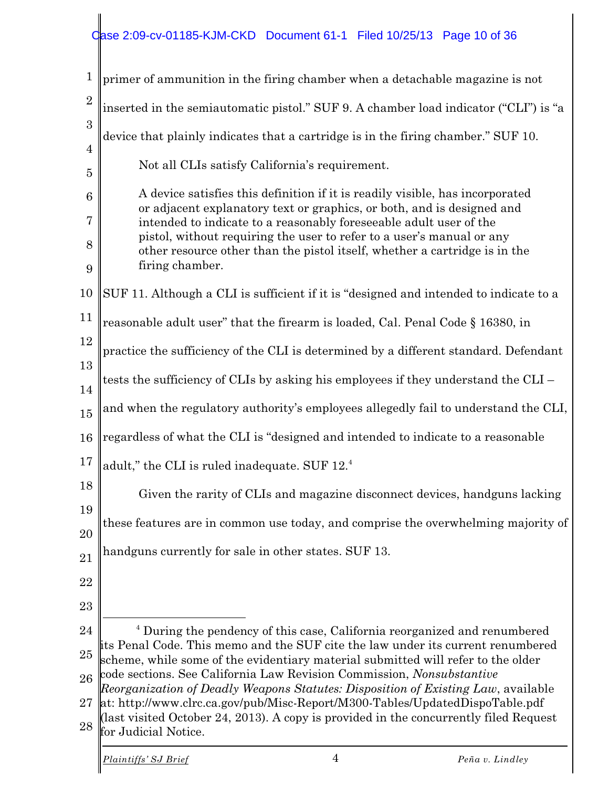### Case 2:09-cv-01185-KJM-CKD Document 61-1 Filed 10/25/13 Page 10 of 36

| $\mathbf{1}$                     | primer of ammunition in the firing chamber when a detachable magazine is not                                                                                                                  |
|----------------------------------|-----------------------------------------------------------------------------------------------------------------------------------------------------------------------------------------------|
| $\overline{2}$                   | inserted in the semiautomatic pistol." SUF 9. A chamber load indicator ("CLI") is "a                                                                                                          |
| 3                                | device that plainly indicates that a cartridge is in the firing chamber." SUF 10.                                                                                                             |
| $\overline{4}$<br>$\overline{5}$ | Not all CLIs satisfy California's requirement.                                                                                                                                                |
| $6\phantom{1}6$                  | A device satisfies this definition if it is readily visible, has incorporated<br>or adjacent explanatory text or graphics, or both, and is designed and                                       |
| $\overline{7}$                   | intended to indicate to a reasonably foreseeable adult user of the                                                                                                                            |
| 8<br>9                           | pistol, without requiring the user to refer to a user's manual or any<br>other resource other than the pistol itself, whether a cartridge is in the<br>firing chamber.                        |
| 10                               | SUF 11. Although a CLI is sufficient if it is "designed and intended to indicate to a                                                                                                         |
| 11                               | reasonable adult user" that the firearm is loaded, Cal. Penal Code § 16380, in                                                                                                                |
| 12                               | practice the sufficiency of the CLI is determined by a different standard. Defendant                                                                                                          |
| 13<br>14                         | tests the sufficiency of CLIs by asking his employees if they understand the CLI -                                                                                                            |
| 15                               | and when the regulatory authority's employees allegedly fail to understand the CLI,                                                                                                           |
| 16                               | regardless of what the CLI is "designed and intended to indicate to a reasonable                                                                                                              |
| 17                               | adult," the CLI is ruled inadequate. SUF 12.4                                                                                                                                                 |
| 18                               | Given the rarity of CLIs and magazine disconnect devices, handguns lacking                                                                                                                    |
| 19<br>20                         | these features are in common use today, and comprise the overwhelming majority of                                                                                                             |
| 21                               | handguns currently for sale in other states. SUF 13.                                                                                                                                          |
| 22                               |                                                                                                                                                                                               |
| 23                               |                                                                                                                                                                                               |
| 24                               | <sup>4</sup> During the pendency of this case, California reorganized and renumbered                                                                                                          |
| 25                               | its Penal Code. This memo and the SUF cite the law under its current renumbered<br>scheme, while some of the evidentiary material submitted will refer to the older                           |
| 26                               | code sections. See California Law Revision Commission, Nonsubstantive<br>Reorganization of Deadly Weapons Statutes: Disposition of Existing Law, available                                    |
| 27<br>28                         | at: http://www.clrc.ca.gov/pub/Misc-Report/M300-Tables/UpdatedDispoTable.pdf<br>(last visited October 24, 2013). A copy is provided in the concurrently filed Request<br>for Judicial Notice. |
|                                  |                                                                                                                                                                                               |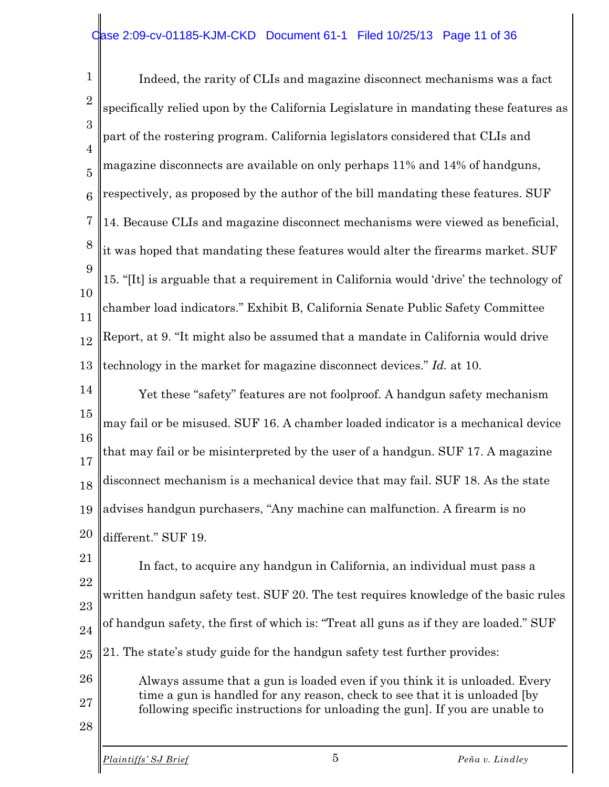#### ase 2:09-cv-01185-KJM-CKD Document 61-1 Filed 10/25/13 Page 11 of 36

1  $\mathcal{D}_{\mathcal{L}}$ 3 4 5 6 7 8 9 10 11 12 13 Indeed, the rarity of CLIs and magazine disconnect mechanisms was a fact specifically relied upon by the California Legislature in mandating these features as part of the rostering program. California legislators considered that CLIs and magazine disconnects are available on only perhaps 11% and 14% of handguns, respectively, as proposed by the author of the bill mandating these features. SUF 14. Because CLIs and magazine disconnect mechanisms were viewed as beneficial, it was hoped that mandating these features would alter the firearms market. SUF 15. "[It] is arguable that a requirement in California would 'drive' the technology of chamber load indicators." Exhibit B, California Senate Public Safety Committee Report, at 9. "It might also be assumed that a mandate in California would drive technology in the market for magazine disconnect devices." *Id.* at 10.

14 15 16 17 18 19 20 Yet these "safety" features are not foolproof. A handgun safety mechanism may fail or be misused. SUF 16. A chamber loaded indicator is a mechanical device that may fail or be misinterpreted by the user of a handgun. SUF 17. A magazine disconnect mechanism is a mechanical device that may fail. SUF 18. As the state advises handgun purchasers, "Any machine can malfunction. A firearm is no different." SUF 19.

21 22 23 24 25 26 In fact, to acquire any handgun in California, an individual must pass a written handgun safety test. SUF 20. The test requires knowledge of the basic rules of handgun safety, the first of which is: "Treat all guns as if they are loaded." SUF 21. The state's study guide for the handgun safety test further provides:

- 27 Always assume that a gun is loaded even if you think it is unloaded. Every time a gun is handled for any reason, check to see that it is unloaded [by following specific instructions for unloading the gun]. If you are unable to
- 28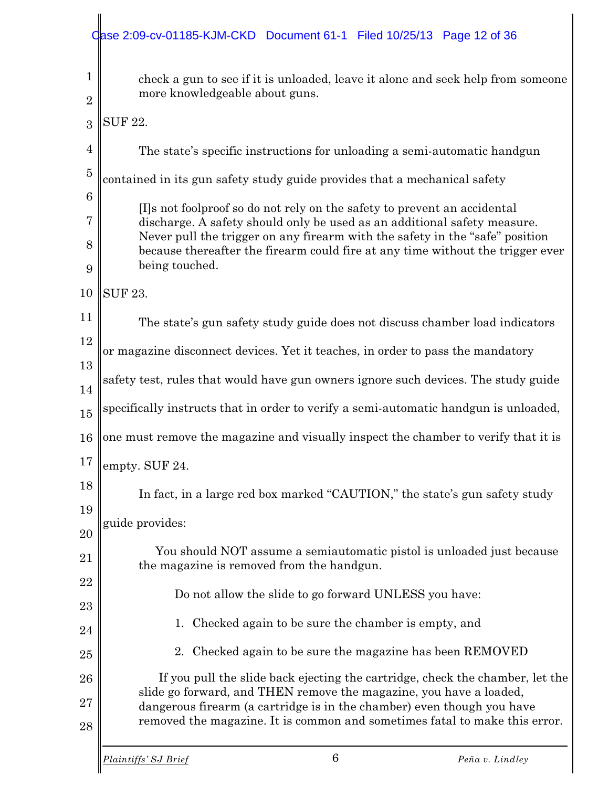### Case 2:09-cv-01185-KJM-CKD Document 61-1 Filed 10/25/13 Page 12 of 36

| $\mathbf{1}$   | check a gun to see if it is unloaded, leave it alone and seek help from someone                                                                                                  |  |
|----------------|----------------------------------------------------------------------------------------------------------------------------------------------------------------------------------|--|
| $\overline{2}$ | more knowledgeable about guns.                                                                                                                                                   |  |
| 3              | <b>SUF 22.</b>                                                                                                                                                                   |  |
| $\overline{4}$ | The state's specific instructions for unloading a semi-automatic handgun                                                                                                         |  |
| $\overline{5}$ | contained in its gun safety study guide provides that a mechanical safety                                                                                                        |  |
| 6              | [I]s not foolproof so do not rely on the safety to prevent an accidental                                                                                                         |  |
| 7              | discharge. A safety should only be used as an additional safety measure.                                                                                                         |  |
| 8<br>9         | Never pull the trigger on any firearm with the safety in the "safe" position<br>because thereafter the firearm could fire at any time without the trigger ever<br>being touched. |  |
| 10             | <b>SUF 23.</b>                                                                                                                                                                   |  |
| 11             | The state's gun safety study guide does not discuss chamber load indicators                                                                                                      |  |
| 12             | or magazine disconnect devices. Yet it teaches, in order to pass the mandatory                                                                                                   |  |
| 13             | safety test, rules that would have gun owners ignore such devices. The study guide                                                                                               |  |
| 14             |                                                                                                                                                                                  |  |
| 15             | specifically instructs that in order to verify a semi-automatic handgun is unloaded,                                                                                             |  |
| 16             | one must remove the magazine and visually inspect the chamber to verify that it is                                                                                               |  |
| 17             | empty. SUF 24.                                                                                                                                                                   |  |
| 18             | In fact, in a large red box marked "CAUTION," the state's gun safety study                                                                                                       |  |
| 19             | guide provides:                                                                                                                                                                  |  |
| 20             |                                                                                                                                                                                  |  |
| 21             | You should NOT assume a semiautomatic pistol is unloaded just because<br>the magazine is removed from the handgun.                                                               |  |
| 22             | Do not allow the slide to go forward UNLESS you have:                                                                                                                            |  |
| 23             | Checked again to be sure the chamber is empty, and<br>1.                                                                                                                         |  |
| 24             |                                                                                                                                                                                  |  |
| 25             | 2. Checked again to be sure the magazine has been REMOVED                                                                                                                        |  |
| 26             | If you pull the slide back ejecting the cartridge, check the chamber, let the<br>slide go forward, and THEN remove the magazine, you have a loaded,                              |  |
| 27             | dangerous firearm (a cartridge is in the chamber) even though you have                                                                                                           |  |
| 28             | removed the magazine. It is common and sometimes fatal to make this error.                                                                                                       |  |
|                |                                                                                                                                                                                  |  |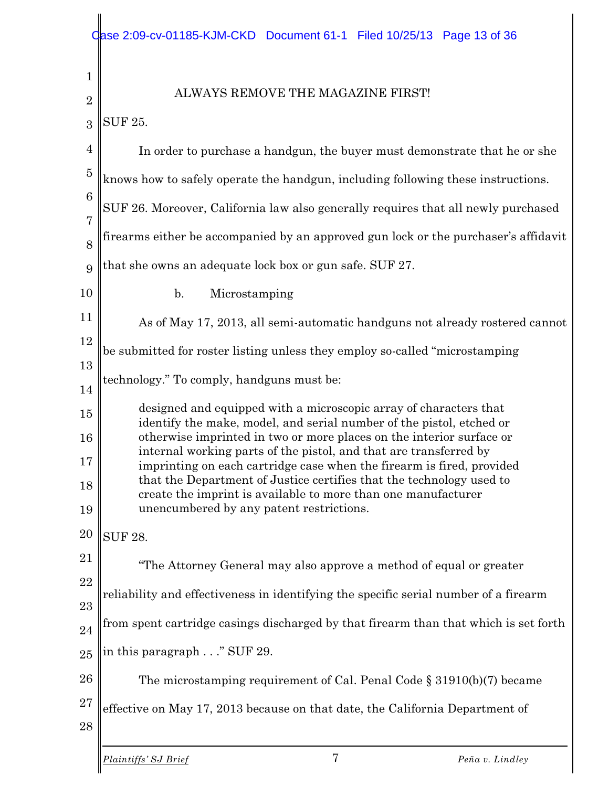1 2 3 4 5 6 7 8 9 10 11 12 13 14 15 16 17 18 19 20 21 22 23 24 25 26 27 28 ALWAYS REMOVE THE MAGAZINE FIRST! SUF 25. In order to purchase a handgun, the buyer must demonstrate that he or she knows how to safely operate the handgun, including following these instructions. SUF 26. Moreover, California law also generally requires that all newly purchased firearms either be accompanied by an approved gun lock or the purchaser's affidavit that she owns an adequate lock box or gun safe. SUF 27. b. Microstamping As of May 17, 2013, all semi-automatic handguns not already rostered cannot be submitted for roster listing unless they employ so-called "microstamping technology." To comply, handguns must be: designed and equipped with a microscopic array of characters that identify the make, model, and serial number of the pistol, etched or otherwise imprinted in two or more places on the interior surface or internal working parts of the pistol, and that are transferred by imprinting on each cartridge case when the firearm is fired, provided that the Department of Justice certifies that the technology used to create the imprint is available to more than one manufacturer unencumbered by any patent restrictions. SUF 28. "The Attorney General may also approve a method of equal or greater reliability and effectiveness in identifying the specific serial number of a firearm from spent cartridge casings discharged by that firearm than that which is set forth in this paragraph . . ." SUF 29. The microstamping requirement of Cal. Penal Code § 31910(b)(7) became effective on May 17, 2013 because on that date, the California Department of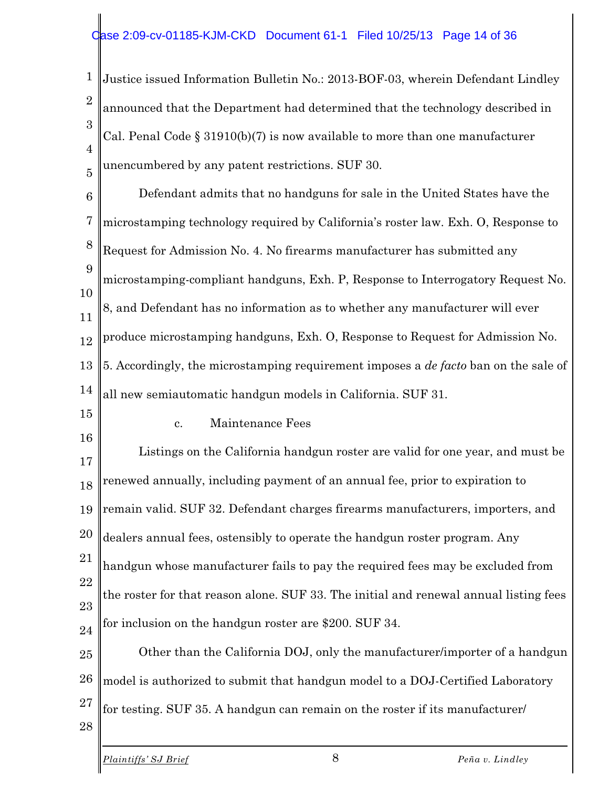1 2 3 4 5 Justice issued Information Bulletin No.: 2013-BOF-03, wherein Defendant Lindley announced that the Department had determined that the technology described in Cal. Penal Code § 31910(b)(7) is now available to more than one manufacturer unencumbered by any patent restrictions. SUF 30.

6 7 8 9 10 11 12 13 14 15 Defendant admits that no handguns for sale in the United States have the microstamping technology required by California's roster law. Exh. O, Response to Request for Admission No. 4. No firearms manufacturer has submitted any microstamping-compliant handguns, Exh. P, Response to Interrogatory Request No. 8, and Defendant has no information as to whether any manufacturer will ever produce microstamping handguns, Exh. O, Response to Request for Admission No. 5. Accordingly, the microstamping requirement imposes a *de facto* ban on the sale of all new semiautomatic handgun models in California. SUF 31.

16

28

c. Maintenance Fees

17 18 19 20 21 22 23 24 Listings on the California handgun roster are valid for one year, and must be renewed annually, including payment of an annual fee, prior to expiration to remain valid. SUF 32. Defendant charges firearms manufacturers, importers, and dealers annual fees, ostensibly to operate the handgun roster program. Any handgun whose manufacturer fails to pay the required fees may be excluded from the roster for that reason alone. SUF 33. The initial and renewal annual listing fees for inclusion on the handgun roster are \$200. SUF 34.

25 26 27 Other than the California DOJ, only the manufacturer/importer of a handgun model is authorized to submit that handgun model to a DOJ-Certified Laboratory for testing. SUF 35. A handgun can remain on the roster if its manufacturer/

*Plaintiffs' SJ Brief* 8 *Peña v. Lindley*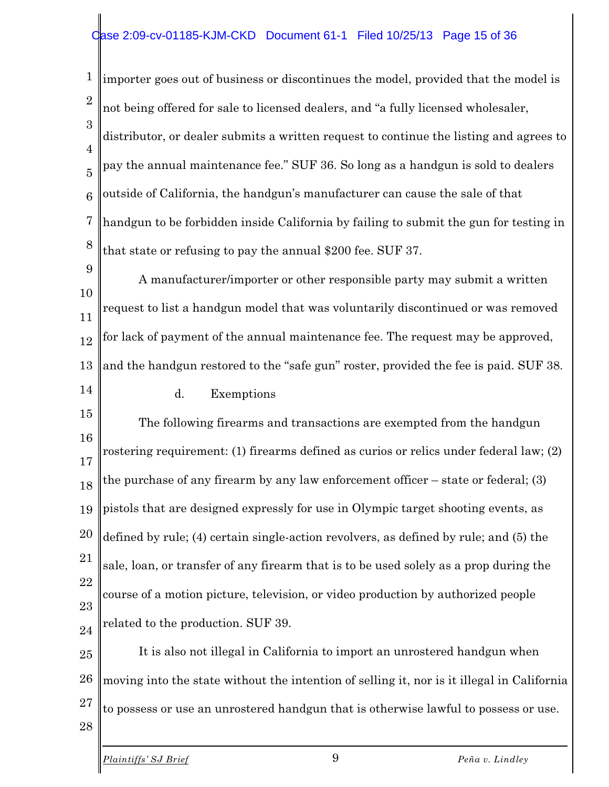#### ase 2:09-cv-01185-KJM-CKD Document 61-1 Filed 10/25/13 Page 15 of 36

1 2 3 4 5 6 7 8 importer goes out of business or discontinues the model, provided that the model is not being offered for sale to licensed dealers, and "a fully licensed wholesaler, distributor, or dealer submits a written request to continue the listing and agrees to pay the annual maintenance fee." SUF 36. So long as a handgun is sold to dealers outside of California, the handgun's manufacturer can cause the sale of that handgun to be forbidden inside California by failing to submit the gun for testing in that state or refusing to pay the annual \$200 fee. SUF 37.

9 10 11 12 13 14 A manufacturer/importer or other responsible party may submit a written request to list a handgun model that was voluntarily discontinued or was removed for lack of payment of the annual maintenance fee. The request may be approved, and the handgun restored to the "safe gun" roster, provided the fee is paid. SUF 38.

d. Exemptions

15 16 17 18 19 20 21 22 23 24 The following firearms and transactions are exempted from the handgun rostering requirement: (1) firearms defined as curios or relics under federal law; (2) the purchase of any firearm by any law enforcement officer – state or federal; (3) pistols that are designed expressly for use in Olympic target shooting events, as defined by rule; (4) certain single-action revolvers, as defined by rule; and (5) the sale, loan, or transfer of any firearm that is to be used solely as a prop during the course of a motion picture, television, or video production by authorized people related to the production. SUF 39.

25 26 27 28 It is also not illegal in California to import an unrostered handgun when moving into the state without the intention of selling it, nor is it illegal in California to possess or use an unrostered handgun that is otherwise lawful to possess or use.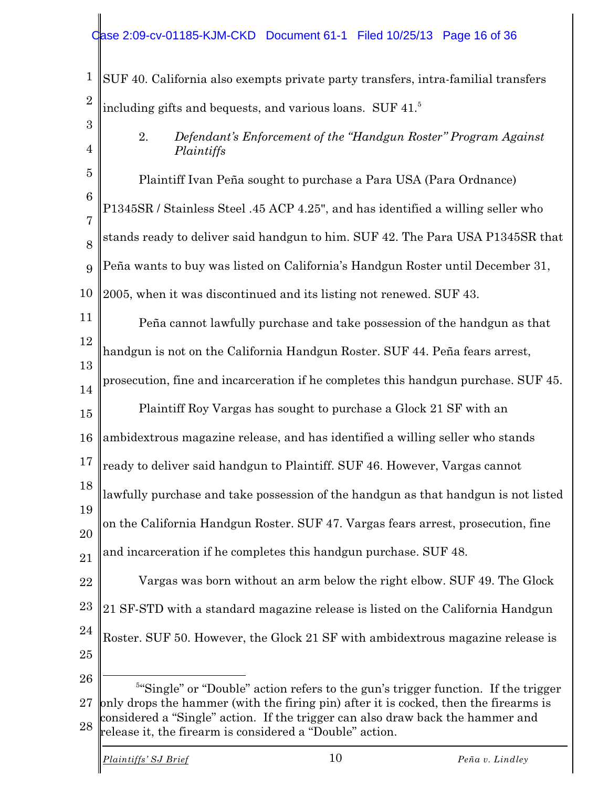#### ase 2:09-cv-01185-KJM-CKD Document 61-1 Filed 10/25/13 Page 16 of 36

1 2 3 SUF 40. California also exempts private party transfers, intra-familial transfers including gifts and bequests, and various loans. SUF 41.<sup>5</sup>

- 4
- 2. *Defendant's Enforcement of the "Handgun Roster" Program Against Plaintiffs*

5 6 7 8 9 10 Plaintiff Ivan Peña sought to purchase a Para USA (Para Ordnance) P1345SR / Stainless Steel .45 ACP 4.25", and has identified a willing seller who stands ready to deliver said handgun to him. SUF 42. The Para USA P1345SR that Peña wants to buy was listed on California's Handgun Roster until December 31, 2005, when it was discontinued and its listing not renewed. SUF 43.

11 12 13 Peña cannot lawfully purchase and take possession of the handgun as that handgun is not on the California Handgun Roster. SUF 44. Peña fears arrest,

14 prosecution, fine and incarceration if he completes this handgun purchase. SUF 45.

15 Plaintiff Roy Vargas has sought to purchase a Glock 21 SF with an

16 ambidextrous magazine release, and has identified a willing seller who stands

17 ready to deliver said handgun to Plaintiff. SUF 46. However, Vargas cannot

18 lawfully purchase and take possession of the handgun as that handgun is not listed

19 20 on the California Handgun Roster. SUF 47. Vargas fears arrest, prosecution, fine

21 and incarceration if he completes this handgun purchase. SUF 48.

22 23 24 25 Vargas was born without an arm below the right elbow. SUF 49. The Glock 21 SF-STD with a standard magazine release is listed on the California Handgun Roster. SUF 50. However, the Glock 21 SF with ambidextrous magazine release is

26

27 | 28 <sup>5"</sup>Single" or "Double" action refers to the gun's trigger function. If the trigger only drops the hammer (with the firing pin) after it is cocked, then the firearms is considered a "Single" action. If the trigger can also draw back the hammer and release it, the firearm is considered a "Double" action.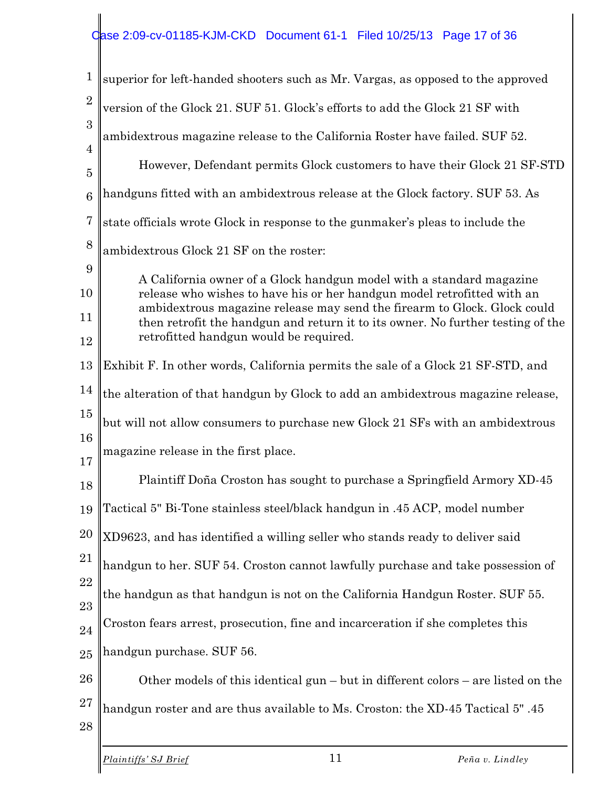### Case 2:09-cv-01185-KJM-CKD Document 61-1 Filed 10/25/13 Page 17 of 36

| $\mathbf{1}$                     | superior for left-handed shooters such as Mr. Vargas, as opposed to the approved                                                                                                                                                                                                                                                                         |
|----------------------------------|----------------------------------------------------------------------------------------------------------------------------------------------------------------------------------------------------------------------------------------------------------------------------------------------------------------------------------------------------------|
| $\overline{2}$                   | version of the Glock 21. SUF 51. Glock's efforts to add the Glock 21 SF with                                                                                                                                                                                                                                                                             |
| 3                                | ambidextrous magazine release to the California Roster have failed. SUF 52.                                                                                                                                                                                                                                                                              |
| $\overline{4}$<br>$\overline{5}$ | However, Defendant permits Glock customers to have their Glock 21 SF-STD                                                                                                                                                                                                                                                                                 |
| $6\phantom{1}6$                  | handguns fitted with an ambidextrous release at the Glock factory. SUF 53. As                                                                                                                                                                                                                                                                            |
| $\overline{7}$                   | state officials wrote Glock in response to the gunmaker's pleas to include the                                                                                                                                                                                                                                                                           |
| 8                                | ambidextrous Glock 21 SF on the roster:                                                                                                                                                                                                                                                                                                                  |
| 9<br>10<br>11                    | A California owner of a Glock handgun model with a standard magazine<br>release who wishes to have his or her handgun model retrofitted with an<br>ambidextrous magazine release may send the firearm to Glock. Glock could<br>then retrofit the handgun and return it to its owner. No further testing of the<br>retrofitted handgun would be required. |
| 12<br>13                         | Exhibit F. In other words, California permits the sale of a Glock 21 SF-STD, and                                                                                                                                                                                                                                                                         |
| 14                               | the alteration of that handgun by Glock to add an ambidextrous magazine release,                                                                                                                                                                                                                                                                         |
| 15                               | but will not allow consumers to purchase new Glock 21 SFs with an ambidextrous                                                                                                                                                                                                                                                                           |
| 16<br>17                         | magazine release in the first place.                                                                                                                                                                                                                                                                                                                     |
| 18                               | Plaintiff Doña Croston has sought to purchase a Springfield Armory XD-45                                                                                                                                                                                                                                                                                 |
| 19                               | Tactical 5" Bi-Tone stainless steel/black handgun in .45 ACP, model number                                                                                                                                                                                                                                                                               |
| 20                               | XD9623, and has identified a willing seller who stands ready to deliver said                                                                                                                                                                                                                                                                             |
| 21                               | handgun to her. SUF 54. Croston cannot lawfully purchase and take possession of                                                                                                                                                                                                                                                                          |
| 22<br>23                         | the handgun as that handgun is not on the California Handgun Roster. SUF 55.                                                                                                                                                                                                                                                                             |
| 24                               | Croston fears arrest, prosecution, fine and incarceration if she completes this                                                                                                                                                                                                                                                                          |
| 25                               | handgun purchase. SUF 56.                                                                                                                                                                                                                                                                                                                                |
| 26                               | Other models of this identical gun $-$ but in different colors $-$ are listed on the                                                                                                                                                                                                                                                                     |
| 27<br>28                         | handgun roster and are thus available to Ms. Croston: the XD-45 Tactical 5".45                                                                                                                                                                                                                                                                           |
|                                  |                                                                                                                                                                                                                                                                                                                                                          |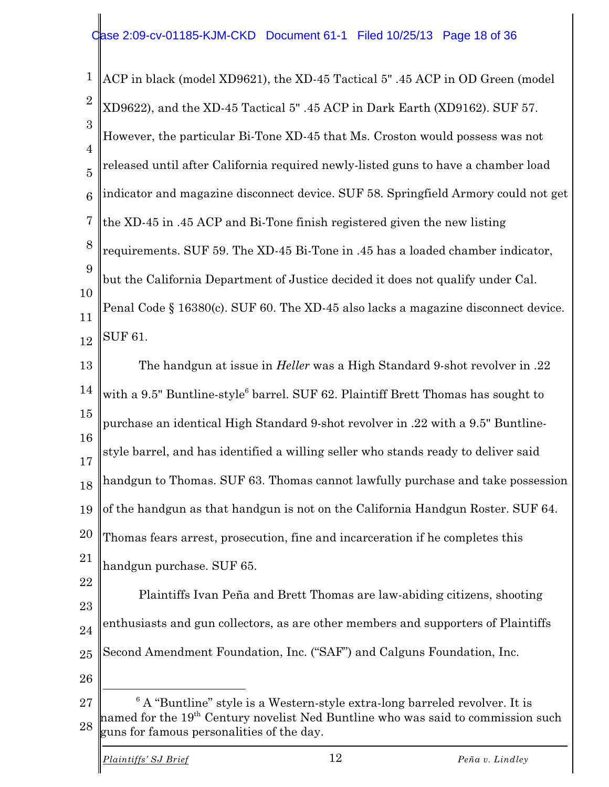1 2 3 4 5 6 7 8 9 10 11 12 13 14 15 16 ACP in black (model XD9621), the XD-45 Tactical 5" .45 ACP in OD Green (model XD9622), and the XD-45 Tactical 5" .45 ACP in Dark Earth (XD9162). SUF 57. However, the particular Bi-Tone XD-45 that Ms. Croston would possess was not released until after California required newly-listed guns to have a chamber load indicator and magazine disconnect device. SUF 58. Springfield Armory could not get the XD-45 in .45 ACP and Bi-Tone finish registered given the new listing requirements. SUF 59. The XD-45 Bi-Tone in .45 has a loaded chamber indicator, but the California Department of Justice decided it does not qualify under Cal. Penal Code § 16380(c). SUF 60. The XD-45 also lacks a magazine disconnect device. SUF 61. The handgun at issue in *Heller* was a High Standard 9-shot revolver in .22 with a  $9.5$ " Buntline-style<sup>6</sup> barrel. SUF 62. Plaintiff Brett Thomas has sought to purchase an identical High Standard 9-shot revolver in .22 with a 9.5" Buntline-

17 style barrel, and has identified a willing seller who stands ready to deliver said

18 handgun to Thomas. SUF 63. Thomas cannot lawfully purchase and take possession

19 of the handgun as that handgun is not on the California Handgun Roster. SUF 64.

20 21 Thomas fears arrest, prosecution, fine and incarceration if he completes this handgun purchase. SUF 65.

- 22 23 24 25 Plaintiffs Ivan Peña and Brett Thomas are law-abiding citizens, shooting enthusiasts and gun collectors, as are other members and supporters of Plaintiffs Second Amendment Foundation, Inc. ("SAF") and Calguns Foundation, Inc.
- 26

<sup>27</sup> 28  $6$  A "Buntline" style is a Western-style extra-long barreled revolver. It is named for the 19<sup>th</sup> Century novelist Ned Buntline who was said to commission such guns for famous personalities of the day.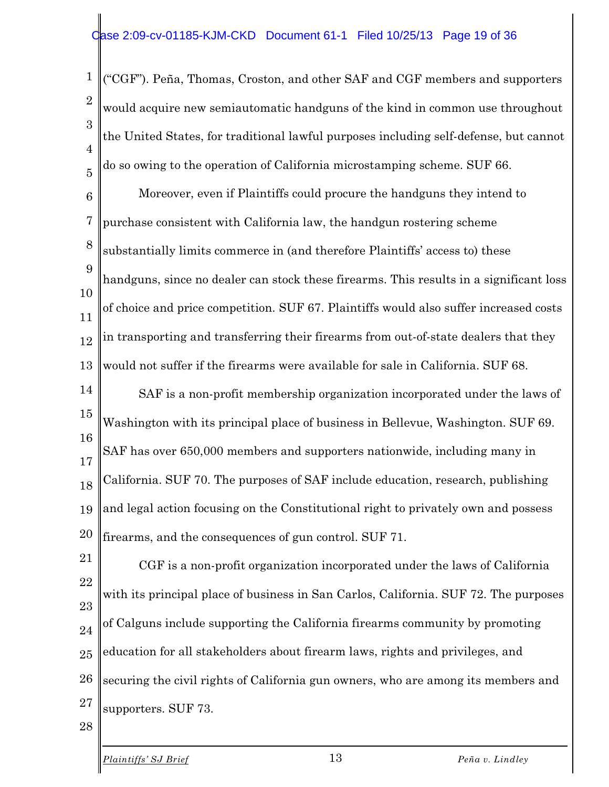1 2 3 4 5 ("CGF"). Peña, Thomas, Croston, and other SAF and CGF members and supporters would acquire new semiautomatic handguns of the kind in common use throughout the United States, for traditional lawful purposes including self-defense, but cannot do so owing to the operation of California microstamping scheme. SUF 66.

6 7 8 9 10 11 12 13 Moreover, even if Plaintiffs could procure the handguns they intend to purchase consistent with California law, the handgun rostering scheme substantially limits commerce in (and therefore Plaintiffs' access to) these handguns, since no dealer can stock these firearms. This results in a significant loss of choice and price competition. SUF 67. Plaintiffs would also suffer increased costs in transporting and transferring their firearms from out-of-state dealers that they would not suffer if the firearms were available for sale in California. SUF 68.

14 15 16 17 18 19 20 SAF is a non-profit membership organization incorporated under the laws of Washington with its principal place of business in Bellevue, Washington. SUF 69. SAF has over 650,000 members and supporters nationwide, including many in California. SUF 70. The purposes of SAF include education, research, publishing and legal action focusing on the Constitutional right to privately own and possess firearms, and the consequences of gun control. SUF 71.

21 22 23 24 25 26 27 CGF is a non-profit organization incorporated under the laws of California with its principal place of business in San Carlos, California. SUF 72. The purposes of Calguns include supporting the California firearms community by promoting education for all stakeholders about firearm laws, rights and privileges, and securing the civil rights of California gun owners, who are among its members and supporters. SUF 73.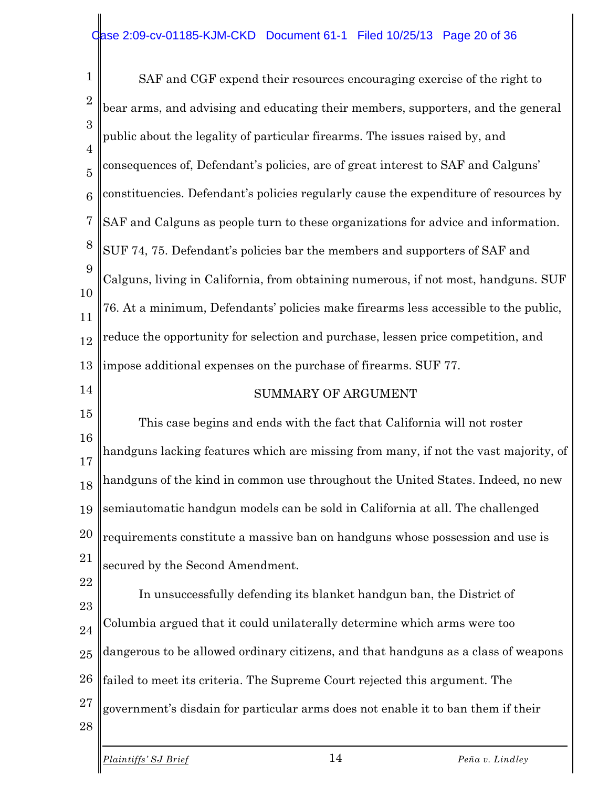1 2 3 4 5 6 7 8 9 10 11 12 13 14 15 16 17 18 19 20 21 22 23 24 25 26 SAF and CGF expend their resources encouraging exercise of the right to bear arms, and advising and educating their members, supporters, and the general public about the legality of particular firearms. The issues raised by, and consequences of, Defendant's policies, are of great interest to SAF and Calguns' constituencies. Defendant's policies regularly cause the expenditure of resources by SAF and Calguns as people turn to these organizations for advice and information. SUF 74, 75. Defendant's policies bar the members and supporters of SAF and Calguns, living in California, from obtaining numerous, if not most, handguns. SUF 76. At a minimum, Defendants' policies make firearms less accessible to the public, reduce the opportunity for selection and purchase, lessen price competition, and impose additional expenses on the purchase of firearms. SUF 77. SUMMARY OF ARGUMENT This case begins and ends with the fact that California will not roster handguns lacking features which are missing from many, if not the vast majority, of handguns of the kind in common use throughout the United States. Indeed, no new semiautomatic handgun models can be sold in California at all. The challenged requirements constitute a massive ban on handguns whose possession and use is secured by the Second Amendment. In unsuccessfully defending its blanket handgun ban, the District of Columbia argued that it could unilaterally determine which arms were too dangerous to be allowed ordinary citizens, and that handguns as a class of weapons failed to meet its criteria. The Supreme Court rejected this argument. The

- 27 government's disdain for particular arms does not enable it to ban them if their
- 28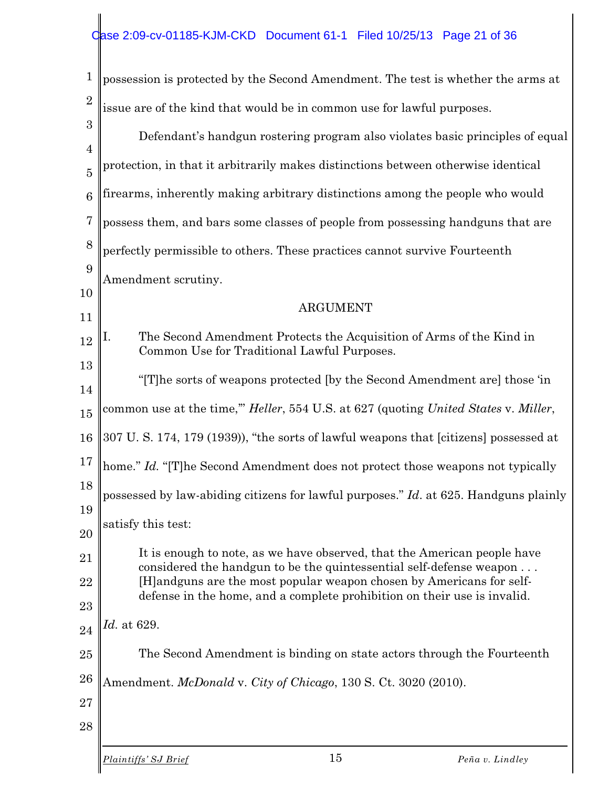| $\mathbf 1$         | possession is protected by the Second Amendment. The test is whether the arms at                                                              |
|---------------------|-----------------------------------------------------------------------------------------------------------------------------------------------|
| $\overline{2}$      | issue are of the kind that would be in common use for lawful purposes.                                                                        |
| 3<br>$\overline{4}$ | Defendant's handgun rostering program also violates basic principles of equal                                                                 |
| $\overline{5}$      | protection, in that it arbitrarily makes distinctions between otherwise identical                                                             |
| 6                   | firearms, inherently making arbitrary distinctions among the people who would                                                                 |
| $\overline{7}$      | possess them, and bars some classes of people from possessing handguns that are                                                               |
| 8                   | perfectly permissible to others. These practices cannot survive Fourteenth                                                                    |
| 9                   | Amendment scrutiny.                                                                                                                           |
| 10                  | <b>ARGUMENT</b>                                                                                                                               |
| 11                  |                                                                                                                                               |
| 12                  | The Second Amendment Protects the Acquisition of Arms of the Kind in<br>I.<br>Common Use for Traditional Lawful Purposes.                     |
| 13<br>14            | "[T] he sorts of weapons protected [by the Second Amendment are] those 'in                                                                    |
| 15                  | common use at the time," <i>Heller</i> , 554 U.S. at 627 (quoting <i>United States v. Miller</i> ,                                            |
| 16                  | 307 U.S. 174, 179 (1939)), "the sorts of lawful weapons that [citizens] possessed at                                                          |
| 17                  | home." Id. "[T]he Second Amendment does not protect those weapons not typically                                                               |
| 18                  | possessed by law-abiding citizens for lawful purposes." Id. at 625. Handguns plainly                                                          |
| 19<br>20            | satisfy this test:                                                                                                                            |
| 21                  | It is enough to note, as we have observed, that the American people have                                                                      |
| 22                  | considered the handgun to be the quintessential self-defense weapon<br>[H] and guns are the most popular weapon chosen by Americans for self- |
| 23                  | defense in the home, and a complete prohibition on their use is invalid.                                                                      |
| 24                  | <i>Id.</i> at 629.                                                                                                                            |
| 25                  | The Second Amendment is binding on state actors through the Fourteenth                                                                        |
| 26                  | Amendment. McDonald v. City of Chicago, 130 S. Ct. 3020 (2010).                                                                               |
| 27                  |                                                                                                                                               |
| 28                  |                                                                                                                                               |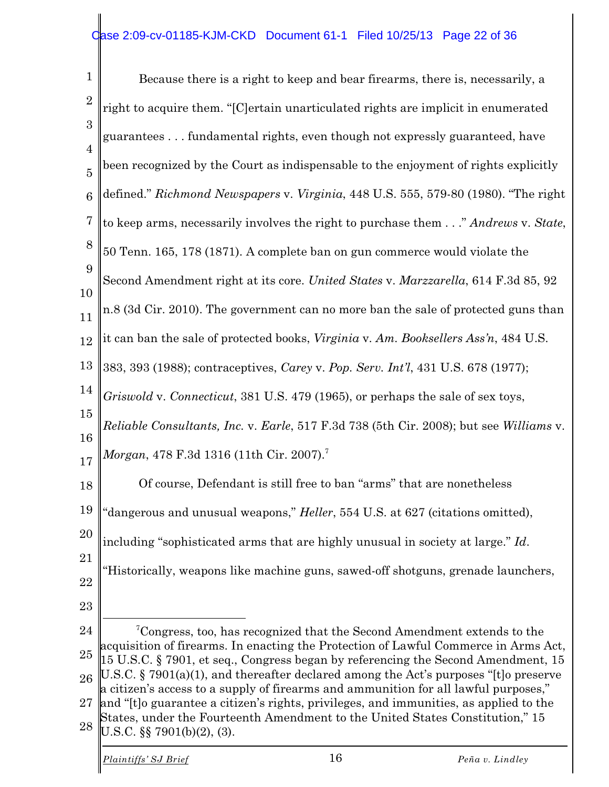| 1                   | Because there is a right to keep and bear firearms, there is, necessarily, a                                                                                                |
|---------------------|-----------------------------------------------------------------------------------------------------------------------------------------------------------------------------|
| $\boldsymbol{2}$    | right to acquire them. "[C]ertain unarticulated rights are implicit in enumerated                                                                                           |
| 3<br>$\overline{4}$ | guarantees fundamental rights, even though not expressly guaranteed, have                                                                                                   |
| $\overline{5}$      | been recognized by the Court as indispensable to the enjoyment of rights explicitly                                                                                         |
| 6                   | defined." Richmond Newspapers v. Virginia, 448 U.S. 555, 579-80 (1980). "The right                                                                                          |
| $\overline{7}$      | to keep arms, necessarily involves the right to purchase them" Andrews v. State,                                                                                            |
| 8                   | 50 Tenn. 165, 178 (1871). A complete ban on gun commerce would violate the                                                                                                  |
| 9<br>10             | Second Amendment right at its core. United States v. Marzzarella, 614 F.3d 85, 92                                                                                           |
| 11                  | n.8 (3d Cir. 2010). The government can no more ban the sale of protected guns than                                                                                          |
| $12\,$              | it can ban the sale of protected books, Virginia v. Am. Booksellers Ass'n, 484 U.S.                                                                                         |
| 13                  | 383, 393 (1988); contraceptives, Carey v. Pop. Serv. Int'l, 431 U.S. 678 (1977);                                                                                            |
| 14                  | Griswold v. Connecticut, 381 U.S. 479 (1965), or perhaps the sale of sex toys,                                                                                              |
| 15                  | <i>Reliable Consultants, Inc. v. Earle,</i> 517 F.3d 738 (5th Cir. 2008); but see <i>Williams v.</i>                                                                        |
| 16<br>17            | <i>Morgan</i> , 478 F.3d 1316 (11th Cir. 2007). <sup>7</sup>                                                                                                                |
| 18                  | Of course, Defendant is still free to ban "arms" that are nonetheless                                                                                                       |
| 19                  | "dangerous and unusual weapons," Heller, 554 U.S. at 627 (citations omitted),                                                                                               |
| 20                  | including "sophisticated arms that are highly unusual in society at large." Id.                                                                                             |
| 21                  | "Historically, weapons like machine guns, sawed-off shotguns, grenade launchers,                                                                                            |
| 22<br>23            |                                                                                                                                                                             |
| 24                  | <sup>7</sup> Congress, too, has recognized that the Second Amendment extends to the                                                                                         |
| 25                  | acquisition of firearms. In enacting the Protection of Lawful Commerce in Arms Act,<br>15 U.S.C. § 7901, et seq., Congress began by referencing the Second Amendment, 15    |
| 26                  | U.S.C. § 7901(a)(1), and thereafter declared among the Act's purposes "[t]o preserve<br>a citizen's access to a supply of firearms and ammunition for all lawful purposes," |
| 27                  | and "[t] o guarantee a citizen's rights, privileges, and immunities, as applied to the<br>States, under the Fourteenth Amendment to the United States Constitution," 15     |
| 28                  | U.S.C. $\S$ 7901(b)(2), (3).                                                                                                                                                |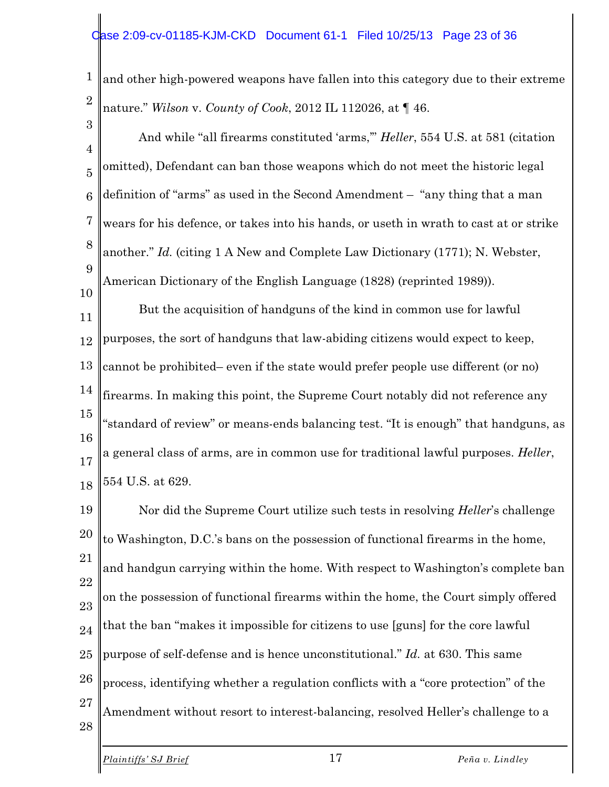1 2 and other high-powered weapons have fallen into this category due to their extreme nature." *Wilson* v. *County of Cook*, 2012 IL 112026, at ¶ 46.

3 4 5 6 7 8 9 10 And while "all firearms constituted 'arms,'" *Heller*, 554 U.S. at 581 (citation omitted), Defendant can ban those weapons which do not meet the historic legal definition of "arms" as used in the Second Amendment – "any thing that a man wears for his defence, or takes into his hands, or useth in wrath to cast at or strike another." *Id.* (citing 1 A New and Complete Law Dictionary (1771); N. Webster, American Dictionary of the English Language (1828) (reprinted 1989)).

11 12 13 14 15 16 17 18 But the acquisition of handguns of the kind in common use for lawful purposes, the sort of handguns that law-abiding citizens would expect to keep, cannot be prohibited– even if the state would prefer people use different (or no) firearms. In making this point, the Supreme Court notably did not reference any "standard of review" or means-ends balancing test. "It is enough" that handguns, as a general class of arms, are in common use for traditional lawful purposes. *Heller*, 554 U.S. at 629.

19 20 21 22 23 24 25 26 27 28 Nor did the Supreme Court utilize such tests in resolving *Heller*'s challenge to Washington, D.C.'s bans on the possession of functional firearms in the home, and handgun carrying within the home. With respect to Washington's complete ban on the possession of functional firearms within the home, the Court simply offered that the ban "makes it impossible for citizens to use [guns] for the core lawful purpose of self-defense and is hence unconstitutional." *Id.* at 630. This same process, identifying whether a regulation conflicts with a "core protection" of the Amendment without resort to interest-balancing, resolved Heller's challenge to a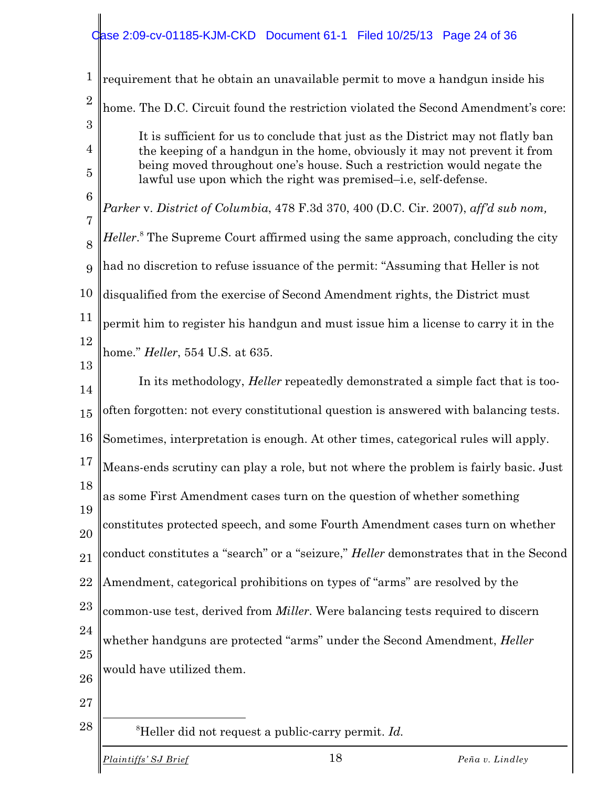# Case 2:09-cv-01185-KJM-CKD Document 61-1 Filed 10/25/13 Page 24 of 36

| 1               | requirement that he obtain an unavailable permit to move a handgun inside his                                                                         |
|-----------------|-------------------------------------------------------------------------------------------------------------------------------------------------------|
| $\overline{2}$  | home. The D.C. Circuit found the restriction violated the Second Amendment's core:                                                                    |
| 3<br>4          | It is sufficient for us to conclude that just as the District may not flatly ban                                                                      |
| 5               | the keeping of a handgun in the home, obviously it may not prevent it from<br>being moved throughout one's house. Such a restriction would negate the |
| $6\phantom{1}6$ | lawful use upon which the right was premised-i.e, self-defense.                                                                                       |
| $\overline{7}$  | Parker v. District of Columbia, 478 F.3d 370, 400 (D.C. Cir. 2007), aff'd sub nom,                                                                    |
| 8               | <i>Heller.</i> <sup>8</sup> The Supreme Court affirmed using the same approach, concluding the city                                                   |
| 9               | had no discretion to refuse issuance of the permit: "Assuming that Heller is not                                                                      |
| 10              | disqualified from the exercise of Second Amendment rights, the District must                                                                          |
| 11              | permit him to register his handgun and must issue him a license to carry it in the                                                                    |
| 12              | home." <i>Heller</i> , 554 U.S. at 635.                                                                                                               |
| 13<br>14        | In its methodology, <i>Heller</i> repeatedly demonstrated a simple fact that is too-                                                                  |
| 15              | often forgotten: not every constitutional question is answered with balancing tests.                                                                  |
| 16              | Sometimes, interpretation is enough. At other times, categorical rules will apply.                                                                    |
| 17              | Means-ends scrutiny can play a role, but not where the problem is fairly basic. Just                                                                  |
| 18              | as some First Amendment cases turn on the question of whether something                                                                               |
| 19<br>20        | constitutes protected speech, and some Fourth Amendment cases turn on whether                                                                         |
| 21              | conduct constitutes a "search" or a "seizure," Heller demonstrates that in the Second                                                                 |
| 22              | Amendment, categorical prohibitions on types of "arms" are resolved by the                                                                            |
| 23              | common-use test, derived from Miller. Were balancing tests required to discern                                                                        |
| 24              | whether handguns are protected "arms" under the Second Amendment, Heller                                                                              |
| 25              |                                                                                                                                                       |
| 26              | would have utilized them.                                                                                                                             |
| 27              |                                                                                                                                                       |
| 28              | <sup>8</sup> Heller did not request a public-carry permit. $Id$ .                                                                                     |
|                 | 18<br>Plaintiffs' SJ Brief<br>Peña v. Lindley                                                                                                         |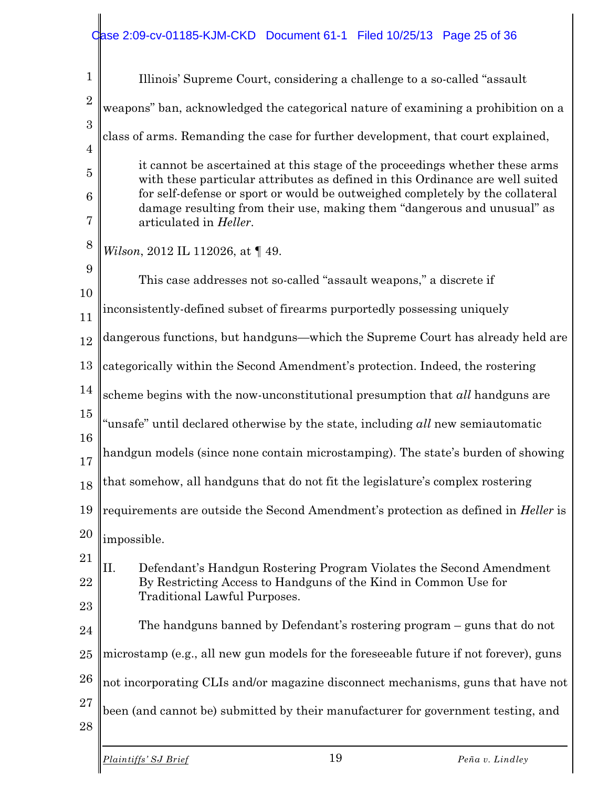| $\mathbf 1$         | Illinois' Supreme Court, considering a challenge to a so-called "assault"                                                                                      |
|---------------------|----------------------------------------------------------------------------------------------------------------------------------------------------------------|
| $\overline{2}$      | weapons" ban, acknowledged the categorical nature of examining a prohibition on a                                                                              |
| 3<br>$\overline{4}$ | class of arms. Remanding the case for further development, that court explained,                                                                               |
| 5                   | it cannot be ascertained at this stage of the proceedings whether these arms                                                                                   |
| $\boldsymbol{6}$    | with these particular attributes as defined in this Ordinance are well suited<br>for self-defense or sport or would be outweighed completely by the collateral |
| 7                   | damage resulting from their use, making them "dangerous and unusual" as<br>articulated in Heller.                                                              |
| 8                   | Wilson, 2012 IL 112026, at 149.                                                                                                                                |
| 9                   | This case addresses not so-called "assault weapons," a discrete if                                                                                             |
| 10<br>11            | inconsistently-defined subset of firearms purportedly possessing uniquely                                                                                      |
| 12                  | dangerous functions, but handguns—which the Supreme Court has already held are                                                                                 |
| 13                  | categorically within the Second Amendment's protection. Indeed, the rostering                                                                                  |
| 14                  | scheme begins with the now-unconstitutional presumption that all handguns are                                                                                  |
| 15                  | "unsafe" until declared otherwise by the state, including all new semiautomatic                                                                                |
| 16<br>17            | handgun models (since none contain microstamping). The state's burden of showing                                                                               |
| 18                  | that somehow, all handguns that do not fit the legislature's complex rostering                                                                                 |
|                     | 19    requirements are outside the Second Amendment's protection as defined in <i>Heller</i> is                                                                |
| 20                  | impossible.                                                                                                                                                    |
| 21                  | Π.<br>Defendant's Handgun Rostering Program Violates the Second Amendment                                                                                      |
| 22<br>23            | By Restricting Access to Handguns of the Kind in Common Use for<br><b>Traditional Lawful Purposes.</b>                                                         |
| 24                  | The handguns banned by Defendant's rostering program – guns that do not                                                                                        |
| 25                  | microstamp (e.g., all new gun models for the foreseeable future if not forever), guns                                                                          |
| 26                  | not incorporating CLIs and/or magazine disconnect mechanisms, guns that have not                                                                               |
| 27                  | been (and cannot be) submitted by their manufacturer for government testing, and                                                                               |
| 28                  |                                                                                                                                                                |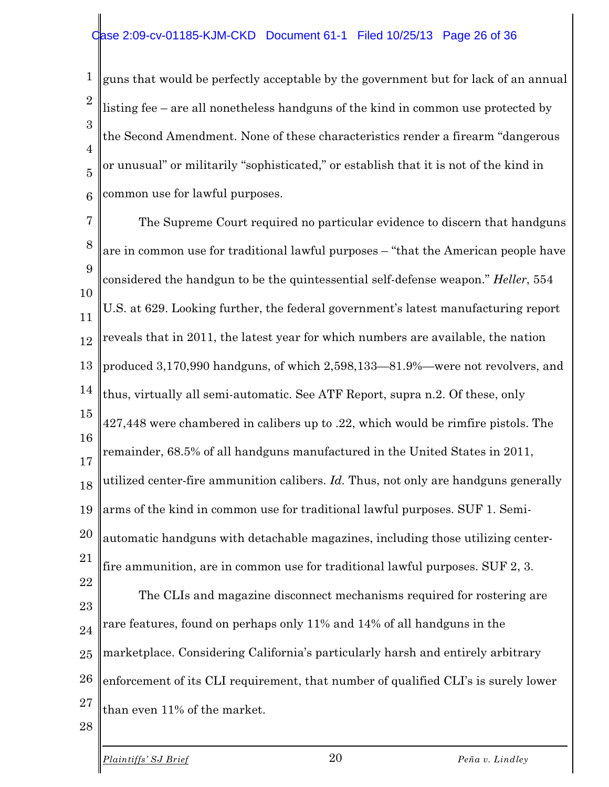#### ase 2:09-cv-01185-KJM-CKD Document 61-1 Filed 10/25/13 Page 26 of 36

1 2 3 4 5 6 guns that would be perfectly acceptable by the government but for lack of an annual listing fee – are all nonetheless handguns of the kind in common use protected by the Second Amendment. None of these characteristics render a firearm "dangerous or unusual" or militarily "sophisticated," or establish that it is not of the kind in common use for lawful purposes.

7 8 9 10 11 12 13 14 15 16 17 18 19 20 21 22 23 24 25 26 27 28 The Supreme Court required no particular evidence to discern that handguns are in common use for traditional lawful purposes – "that the American people have considered the handgun to be the quintessential self-defense weapon." *Heller*, 554 U.S. at 629. Looking further, the federal government's latest manufacturing report reveals that in 2011, the latest year for which numbers are available, the nation produced 3,170,990 handguns, of which 2,598,133—81.9%—were not revolvers, and thus, virtually all semi-automatic. See ATF Report, supra n.2. Of these, only 427,448 were chambered in calibers up to .22, which would be rimfire pistols. The remainder, 68.5% of all handguns manufactured in the United States in 2011, utilized center-fire ammunition calibers. *Id.* Thus, not only are handguns generally arms of the kind in common use for traditional lawful purposes. SUF 1. Semiautomatic handguns with detachable magazines, including those utilizing centerfire ammunition, are in common use for traditional lawful purposes. SUF 2, 3. The CLIs and magazine disconnect mechanisms required for rostering are rare features, found on perhaps only 11% and 14% of all handguns in the marketplace. Considering California's particularly harsh and entirely arbitrary enforcement of its CLI requirement, that number of qualified CLI's is surely lower than even 11% of the market.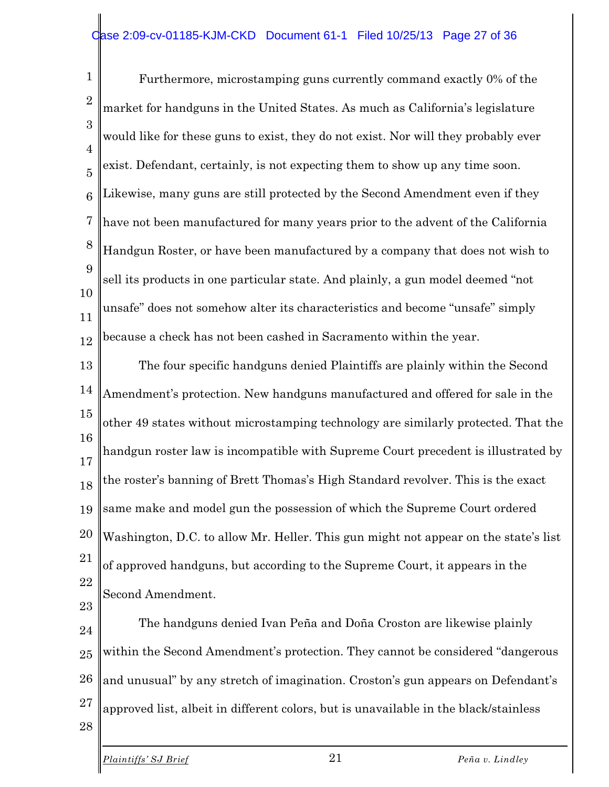#### ase 2:09-cv-01185-KJM-CKD Document 61-1 Filed 10/25/13 Page 27 of 36

1 2 3 4 5 6 7 8 9 10 11 12 Furthermore, microstamping guns currently command exactly 0% of the market for handguns in the United States. As much as California's legislature would like for these guns to exist, they do not exist. Nor will they probably ever exist. Defendant, certainly, is not expecting them to show up any time soon. Likewise, many guns are still protected by the Second Amendment even if they have not been manufactured for many years prior to the advent of the California Handgun Roster, or have been manufactured by a company that does not wish to sell its products in one particular state. And plainly, a gun model deemed "not unsafe" does not somehow alter its characteristics and become "unsafe" simply because a check has not been cashed in Sacramento within the year.

13 14 15 16 17 18 19 20 21 22 23 The four specific handguns denied Plaintiffs are plainly within the Second Amendment's protection. New handguns manufactured and offered for sale in the other 49 states without microstamping technology are similarly protected. That the handgun roster law is incompatible with Supreme Court precedent is illustrated by the roster's banning of Brett Thomas's High Standard revolver. This is the exact same make and model gun the possession of which the Supreme Court ordered Washington, D.C. to allow Mr. Heller. This gun might not appear on the state's list of approved handguns, but according to the Supreme Court, it appears in the Second Amendment.

24 25 26 27 The handguns denied Ivan Peña and Doña Croston are likewise plainly within the Second Amendment's protection. They cannot be considered "dangerous and unusual" by any stretch of imagination. Croston's gun appears on Defendant's approved list, albeit in different colors, but is unavailable in the black/stainless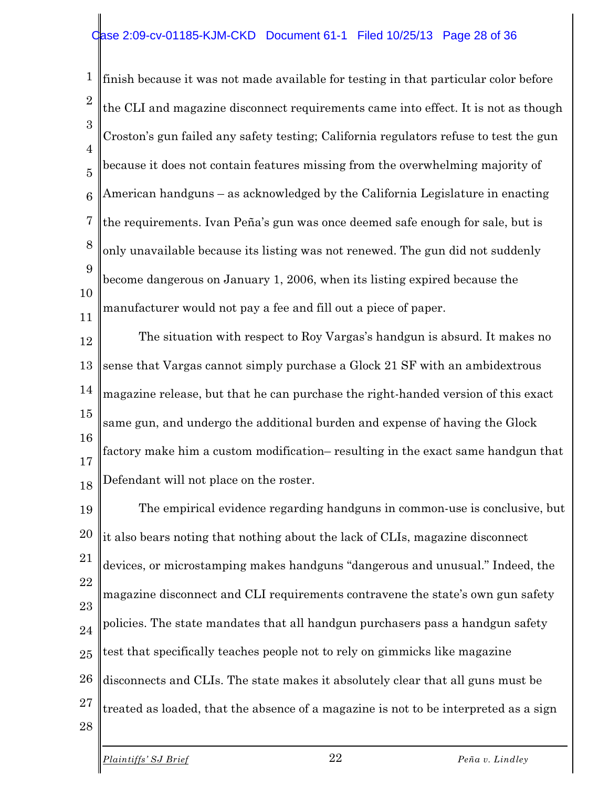#### ase 2:09-cv-01185-KJM-CKD Document 61-1 Filed 10/25/13 Page 28 of 36

1 2 3 4 5 6 7 8 9 10 11 finish because it was not made available for testing in that particular color before the CLI and magazine disconnect requirements came into effect. It is not as though Croston's gun failed any safety testing; California regulators refuse to test the gun because it does not contain features missing from the overwhelming majority of American handguns – as acknowledged by the California Legislature in enacting the requirements. Ivan Peña's gun was once deemed safe enough for sale, but is only unavailable because its listing was not renewed. The gun did not suddenly become dangerous on January 1, 2006, when its listing expired because the manufacturer would not pay a fee and fill out a piece of paper.

12 13 14 15 16 17 18 The situation with respect to Roy Vargas's handgun is absurd. It makes no sense that Vargas cannot simply purchase a Glock 21 SF with an ambidextrous magazine release, but that he can purchase the right-handed version of this exact same gun, and undergo the additional burden and expense of having the Glock factory make him a custom modification– resulting in the exact same handgun that Defendant will not place on the roster.

19 20 21 22 23 24 25 26 27 28 The empirical evidence regarding handguns in common-use is conclusive, but it also bears noting that nothing about the lack of CLIs, magazine disconnect devices, or microstamping makes handguns "dangerous and unusual." Indeed, the magazine disconnect and CLI requirements contravene the state's own gun safety policies. The state mandates that all handgun purchasers pass a handgun safety test that specifically teaches people not to rely on gimmicks like magazine disconnects and CLIs. The state makes it absolutely clear that all guns must be treated as loaded, that the absence of a magazine is not to be interpreted as a sign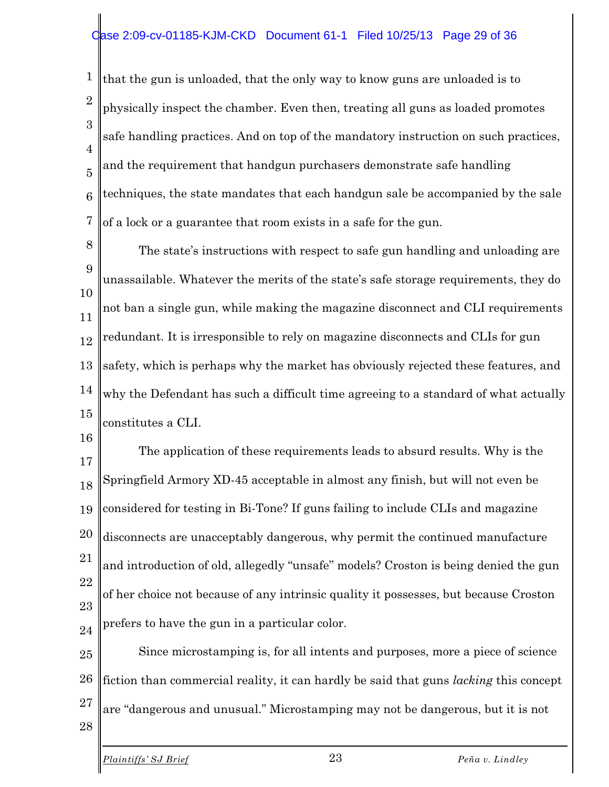#### ase 2:09-cv-01185-KJM-CKD Document 61-1 Filed 10/25/13 Page 29 of 36

1 2 3 4 5 6 7 that the gun is unloaded, that the only way to know guns are unloaded is to physically inspect the chamber. Even then, treating all guns as loaded promotes safe handling practices. And on top of the mandatory instruction on such practices, and the requirement that handgun purchasers demonstrate safe handling techniques, the state mandates that each handgun sale be accompanied by the sale of a lock or a guarantee that room exists in a safe for the gun.

8 9 10 11 12 13 14 15 The state's instructions with respect to safe gun handling and unloading are unassailable. Whatever the merits of the state's safe storage requirements, they do not ban a single gun, while making the magazine disconnect and CLI requirements redundant. It is irresponsible to rely on magazine disconnects and CLIs for gun safety, which is perhaps why the market has obviously rejected these features, and why the Defendant has such a difficult time agreeing to a standard of what actually constitutes a CLI.

16

17 18 19 20 21 22 23 24 The application of these requirements leads to absurd results. Why is the Springfield Armory XD-45 acceptable in almost any finish, but will not even be considered for testing in Bi-Tone? If guns failing to include CLIs and magazine disconnects are unacceptably dangerous, why permit the continued manufacture and introduction of old, allegedly "unsafe" models? Croston is being denied the gun of her choice not because of any intrinsic quality it possesses, but because Croston prefers to have the gun in a particular color.

25 26 27 28 Since microstamping is, for all intents and purposes, more a piece of science fiction than commercial reality, it can hardly be said that guns *lacking* this concept are "dangerous and unusual." Microstamping may not be dangerous, but it is not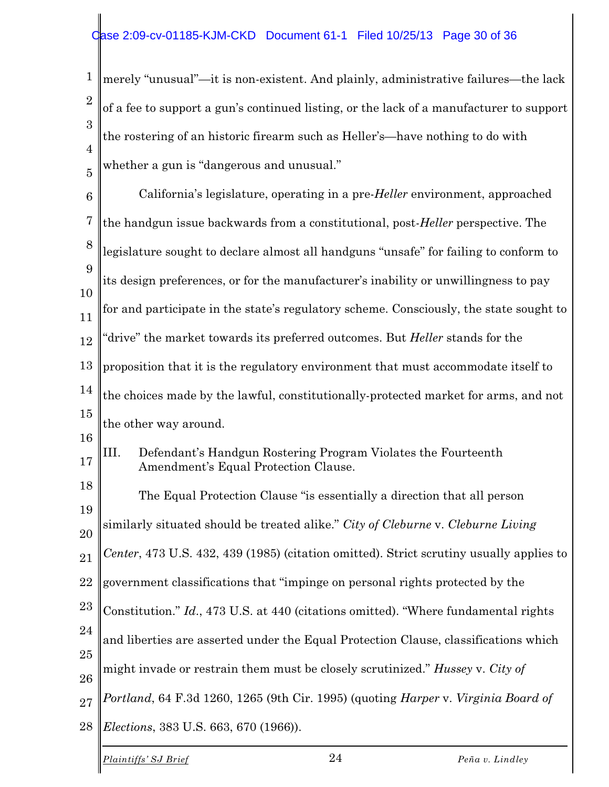1 2 3 4 5 merely "unusual"—it is non-existent. And plainly, administrative failures—the lack of a fee to support a gun's continued listing, or the lack of a manufacturer to support the rostering of an historic firearm such as Heller's—have nothing to do with whether a gun is "dangerous and unusual."

6 7 8 9 10 11 12 13 14 15 16 17 18 19 20 21 22 23 24 25 26 27 28 California's legislature, operating in a pre-*Heller* environment, approached the handgun issue backwards from a constitutional, post-*Heller* perspective. The legislature sought to declare almost all handguns "unsafe" for failing to conform to its design preferences, or for the manufacturer's inability or unwillingness to pay for and participate in the state's regulatory scheme. Consciously, the state sought to "drive" the market towards its preferred outcomes. But *Heller* stands for the proposition that it is the regulatory environment that must accommodate itself to the choices made by the lawful, constitutionally-protected market for arms, and not the other way around. III. Defendant's Handgun Rostering Program Violates the Fourteenth Amendment's Equal Protection Clause. The Equal Protection Clause "is essentially a direction that all person similarly situated should be treated alike." *City of Cleburne* v. *Cleburne Living Center*, 473 U.S. 432, 439 (1985) (citation omitted). Strict scrutiny usually applies to government classifications that "impinge on personal rights protected by the Constitution." *Id*., 473 U.S. at 440 (citations omitted). "Where fundamental rights and liberties are asserted under the Equal Protection Clause, classifications which might invade or restrain them must be closely scrutinized." *Hussey* v. *City of Portland*, 64 F.3d 1260, 1265 (9th Cir. 1995) (quoting *Harper* v. *Virginia Board of Elections*, 383 U.S. 663, 670 (1966)).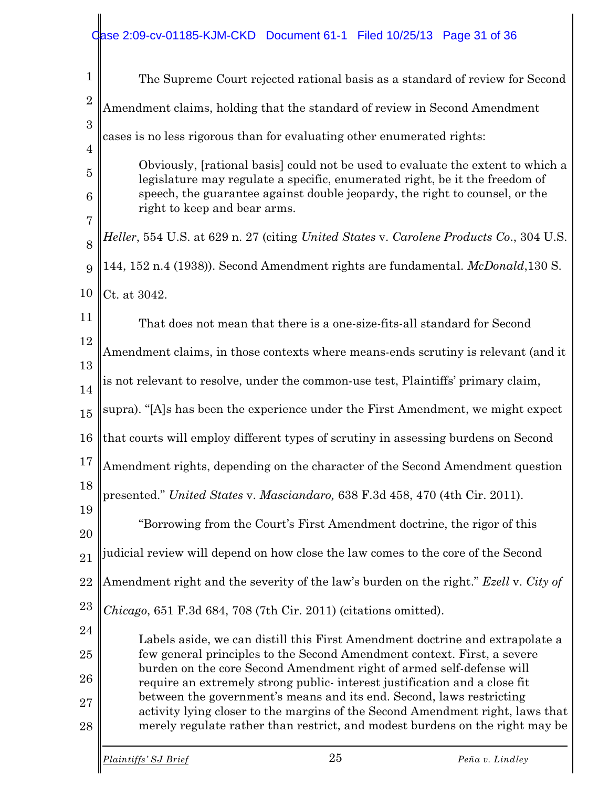# Case 2:09-cv-01185-KJM-CKD Document 61-1 Filed 10/25/13 Page 31 of 36

| $\mathbf 1$    | The Supreme Court rejected rational basis as a standard of review for Second                                                                               |
|----------------|------------------------------------------------------------------------------------------------------------------------------------------------------------|
| $\overline{2}$ | Amendment claims, holding that the standard of review in Second Amendment                                                                                  |
| 3              | cases is no less rigorous than for evaluating other enumerated rights:                                                                                     |
| $\overline{4}$ | Obviously, [rational basis] could not be used to evaluate the extent to which a                                                                            |
| $\overline{5}$ | legislature may regulate a specific, enumerated right, be it the freedom of<br>speech, the guarantee against double jeopardy, the right to counsel, or the |
| 6<br>7         | right to keep and bear arms.                                                                                                                               |
| 8              | Heller, 554 U.S. at 629 n. 27 (citing United States v. Carolene Products Co., 304 U.S.                                                                     |
| 9              | 144, 152 n.4 (1938)). Second Amendment rights are fundamental. McDonald, 130 S.                                                                            |
| 10             | Ct. at 3042.                                                                                                                                               |
| 11             | That does not mean that there is a one-size-fits-all standard for Second                                                                                   |
| 12             | Amendment claims, in those contexts where means-ends scrutiny is relevant (and it                                                                          |
| 13<br>14       | is not relevant to resolve, under the common-use test, Plaintiffs' primary claim,                                                                          |
| 15             | supra). "[A]s has been the experience under the First Amendment, we might expect                                                                           |
| 16             | that courts will employ different types of scrutiny in assessing burdens on Second                                                                         |
| 17             | Amendment rights, depending on the character of the Second Amendment question                                                                              |
| 18             | presented." United States v. Masciandaro, 638 F.3d 458, 470 (4th Cir. 2011).                                                                               |
| 19             | "Borrowing from the Court's First Amendment doctrine, the rigor of this                                                                                    |
| 20             |                                                                                                                                                            |
| 21             | judicial review will depend on how close the law comes to the core of the Second                                                                           |
| 22             | Amendment right and the severity of the law's burden on the right." Ezell v. City of                                                                       |
| 23             | Chicago, 651 F.3d 684, 708 (7th Cir. 2011) (citations omitted).                                                                                            |
| 24             | Labels aside, we can distill this First Amendment doctrine and extrapolate a                                                                               |
| 25             | few general principles to the Second Amendment context. First, a severe<br>burden on the core Second Amendment right of armed self-defense will            |
| 26             | require an extremely strong public-interest justification and a close fit                                                                                  |
| 27             | between the government's means and its end. Second, laws restricting<br>activity lying closer to the margins of the Second Amendment right, laws that      |
| 28             | merely regulate rather than restrict, and modest burdens on the right may be                                                                               |
|                | 25<br>Plaintiffs' SJ Brief<br>Peña v. Lindley                                                                                                              |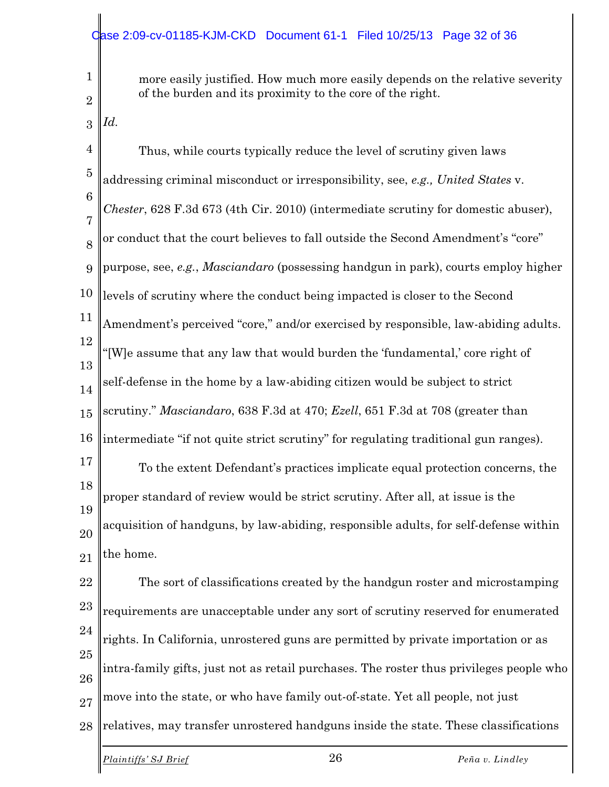1  $\mathfrak{D}$  more easily justified. How much more easily depends on the relative severity of the burden and its proximity to the core of the right.

3

*Id.*

4 5 6 7 8 9 10 11 12 13 14 15 16 17 18 19 20 21 22 23 24 25 26 27 Thus, while courts typically reduce the level of scrutiny given laws addressing criminal misconduct or irresponsibility, see, *e.g., United States* v. *Chester*, 628 F.3d 673 (4th Cir. 2010) (intermediate scrutiny for domestic abuser), or conduct that the court believes to fall outside the Second Amendment's "core" purpose, see, *e.g.*, *Masciandaro* (possessing handgun in park), courts employ higher levels of scrutiny where the conduct being impacted is closer to the Second Amendment's perceived "core," and/or exercised by responsible, law-abiding adults. "[W]e assume that any law that would burden the 'fundamental,' core right of self-defense in the home by a law-abiding citizen would be subject to strict scrutiny." *Masciandaro*, 638 F.3d at 470; *Ezell*, 651 F.3d at 708 (greater than intermediate "if not quite strict scrutiny" for regulating traditional gun ranges). To the extent Defendant's practices implicate equal protection concerns, the proper standard of review would be strict scrutiny. After all, at issue is the acquisition of handguns, by law-abiding, responsible adults, for self-defense within the home. The sort of classifications created by the handgun roster and microstamping requirements are unacceptable under any sort of scrutiny reserved for enumerated rights. In California, unrostered guns are permitted by private importation or as intra-family gifts, just not as retail purchases. The roster thus privileges people who move into the state, or who have family out-of-state. Yet all people, not just

28 relatives, may transfer unrostered handguns inside the state. These classifications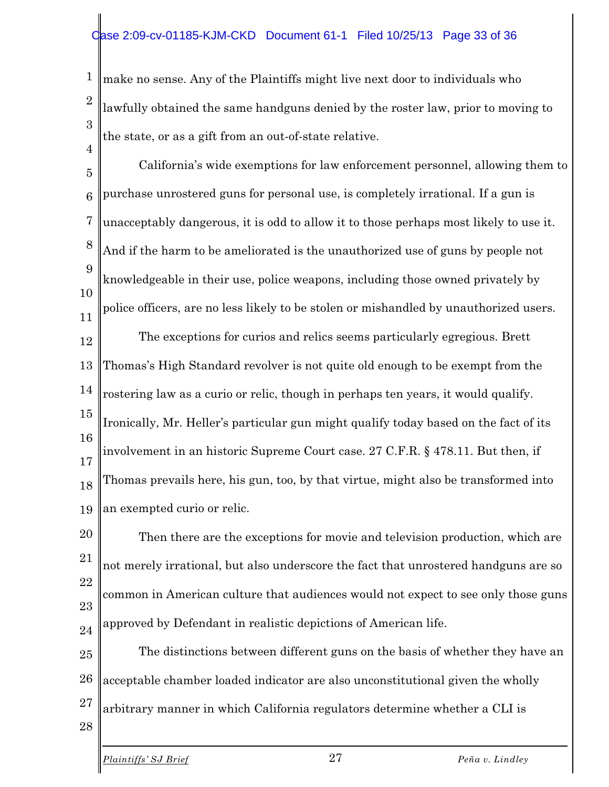#### ase 2:09-cv-01185-KJM-CKD Document 61-1 Filed 10/25/13 Page 33 of 36

1 2 3 make no sense. Any of the Plaintiffs might live next door to individuals who lawfully obtained the same handguns denied by the roster law, prior to moving to the state, or as a gift from an out-of-state relative.

5 6 7 8 9 10 11 12 13 14 15 16 17 18 19 California's wide exemptions for law enforcement personnel, allowing them to purchase unrostered guns for personal use, is completely irrational. If a gun is unacceptably dangerous, it is odd to allow it to those perhaps most likely to use it. And if the harm to be ameliorated is the unauthorized use of guns by people not knowledgeable in their use, police weapons, including those owned privately by police officers, are no less likely to be stolen or mishandled by unauthorized users. The exceptions for curios and relics seems particularly egregious. Brett Thomas's High Standard revolver is not quite old enough to be exempt from the rostering law as a curio or relic, though in perhaps ten years, it would qualify. Ironically, Mr. Heller's particular gun might qualify today based on the fact of its involvement in an historic Supreme Court case. 27 C.F.R. § 478.11. But then, if Thomas prevails here, his gun, too, by that virtue, might also be transformed into an exempted curio or relic.

20 21 22 23 24 Then there are the exceptions for movie and television production, which are not merely irrational, but also underscore the fact that unrostered handguns are so common in American culture that audiences would not expect to see only those guns approved by Defendant in realistic depictions of American life.

25 26 27 The distinctions between different guns on the basis of whether they have an acceptable chamber loaded indicator are also unconstitutional given the wholly arbitrary manner in which California regulators determine whether a CLI is

*Plaintiffs' SJ Brief* 27 *Peña v. Lindley*

28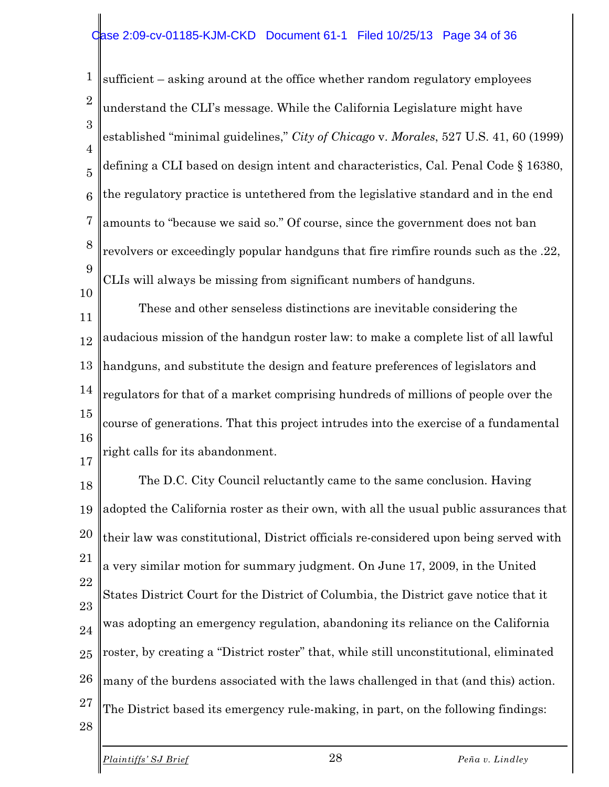#### ase 2:09-cv-01185-KJM-CKD Document 61-1 Filed 10/25/13 Page 34 of 36

1 2 3 4 5 6 7 8 9 sufficient – asking around at the office whether random regulatory employees understand the CLI's message. While the California Legislature might have established "minimal guidelines," *City of Chicago* v. *Morales*, 527 U.S. 41, 60 (1999) defining a CLI based on design intent and characteristics, Cal. Penal Code § 16380, the regulatory practice is untethered from the legislative standard and in the end amounts to "because we said so." Of course, since the government does not ban revolvers or exceedingly popular handguns that fire rimfire rounds such as the .22, CLIs will always be missing from significant numbers of handguns.

11 12 13 14 15 16 17 These and other senseless distinctions are inevitable considering the audacious mission of the handgun roster law: to make a complete list of all lawful handguns, and substitute the design and feature preferences of legislators and regulators for that of a market comprising hundreds of millions of people over the course of generations. That this project intrudes into the exercise of a fundamental right calls for its abandonment.

18 19 20 21 22 23 24 25 26 27 The D.C. City Council reluctantly came to the same conclusion. Having adopted the California roster as their own, with all the usual public assurances that their law was constitutional, District officials re-considered upon being served with a very similar motion for summary judgment. On June 17, 2009, in the United States District Court for the District of Columbia, the District gave notice that it was adopting an emergency regulation, abandoning its reliance on the California roster, by creating a "District roster" that, while still unconstitutional, eliminated many of the burdens associated with the laws challenged in that (and this) action. The District based its emergency rule-making, in part, on the following findings:

28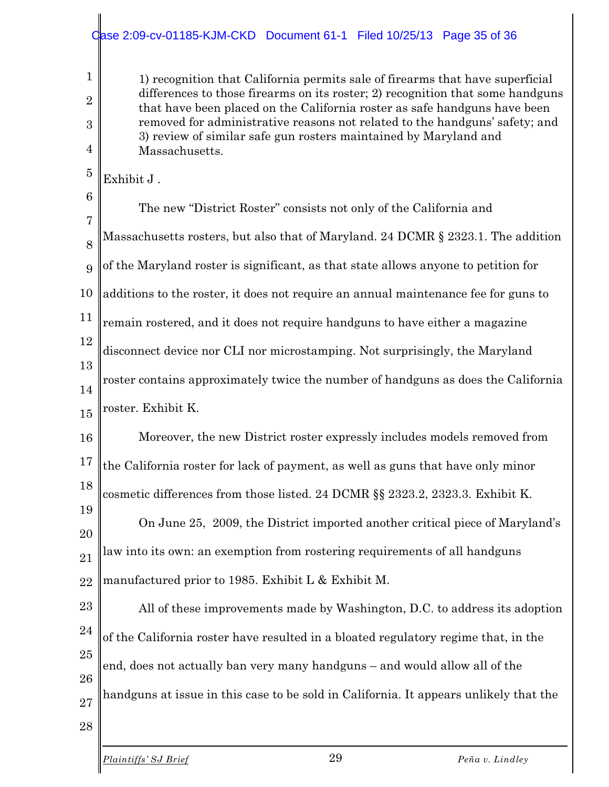#### ase 2:09-cv-01185-KJM-CKD Document 61-1 Filed 10/25/13 Page 35 of 36

1) recognition that California permits sale of firearms that have superficial differences to those firearms on its roster; 2) recognition that some handguns that have been placed on the California roster as safe handguns have been removed for administrative reasons not related to the handguns' safety; and 3) review of similar safe gun rosters maintained by Maryland and Massachusetts.

5 Exhibit J .

1

2

3

4

- 6 7 8 9 10 11 12 13 14 15 The new "District Roster" consists not only of the California and Massachusetts rosters, but also that of Maryland. 24 DCMR § 2323.1. The addition of the Maryland roster is significant, as that state allows anyone to petition for additions to the roster, it does not require an annual maintenance fee for guns to remain rostered, and it does not require handguns to have either a magazine disconnect device nor CLI nor microstamping. Not surprisingly, the Maryland roster contains approximately twice the number of handguns as does the California roster. Exhibit K.
	- 16 17 18 Moreover, the new District roster expressly includes models removed from the California roster for lack of payment, as well as guns that have only minor cosmetic differences from those listed. 24 DCMR §§ 2323.2, 2323.3. Exhibit K.

19 20 21 22 On June 25, 2009, the District imported another critical piece of Maryland's law into its own: an exemption from rostering requirements of all handguns manufactured prior to 1985. Exhibit L & Exhibit M.

23 24 25 26 27 All of these improvements made by Washington, D.C. to address its adoption of the California roster have resulted in a bloated regulatory regime that, in the end, does not actually ban very many handguns – and would allow all of the handguns at issue in this case to be sold in California. It appears unlikely that the